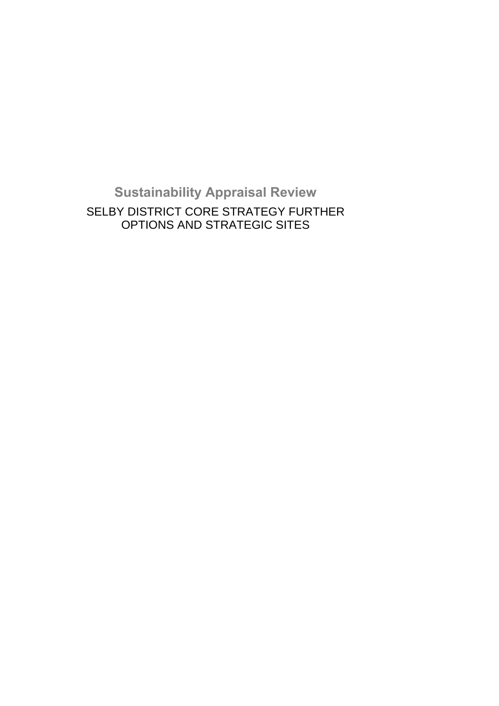**Sustainability Appraisal Review**  SELBY DISTRICT CORE STRATEGY FURTHER OPTIONS AND STRATEGIC SITES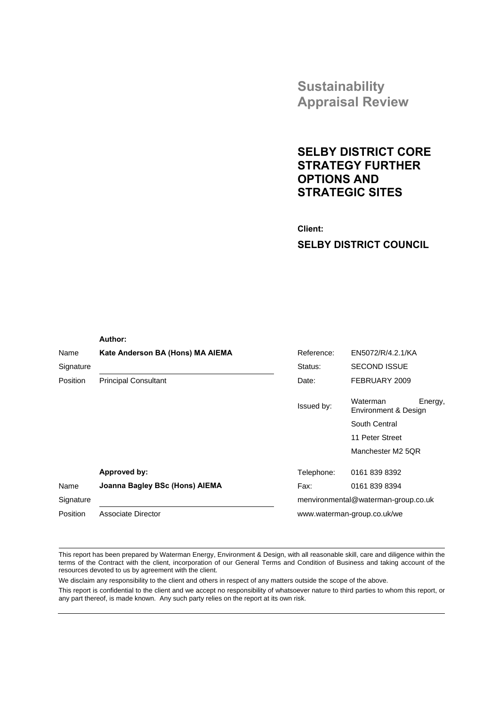**Sustainability Appraisal Review**

# **SELBY DISTRICT CORE STRATEGY FURTHER OPTIONS AND STRATEGIC SITES**

 **Client: SELBY DISTRICT COUNCIL**

|                 | Author:                          |            |                                             |  |
|-----------------|----------------------------------|------------|---------------------------------------------|--|
| Name            | Kate Anderson BA (Hons) MA AIEMA | Reference: | EN5072/R/4.2.1/KA                           |  |
| Signature       |                                  | Status:    | <b>SECOND ISSUE</b>                         |  |
| <b>Position</b> | <b>Principal Consultant</b>      | Date:      | FEBRUARY 2009                               |  |
|                 |                                  | Issued by: | Waterman<br>Energy,<br>Environment & Design |  |
|                 |                                  |            | South Central                               |  |
|                 |                                  |            | 11 Peter Street                             |  |
|                 |                                  |            | Manchester M2 5QR                           |  |
|                 | Approved by:                     | Telephone: | 0161 839 8392                               |  |
| Name            | Joanna Bagley BSc (Hons) AIEMA   | Fax:       | 0161 839 8394                               |  |
| Signature       |                                  |            | menvironmental@waterman-group.co.uk         |  |
| Position        | Associate Director               |            | www.waterman-group.co.uk/we                 |  |

This report has been prepared by Waterman Energy, Environment & Design, with all reasonable skill, care and diligence within the terms of the Contract with the client, incorporation of our General Terms and Condition of Business and taking account of the resources devoted to us by agreement with the client.

We disclaim any responsibility to the client and others in respect of any matters outside the scope of the above.

This report is confidential to the client and we accept no responsibility of whatsoever nature to third parties to whom this report, or any part thereof, is made known. Any such party relies on the report at its own risk.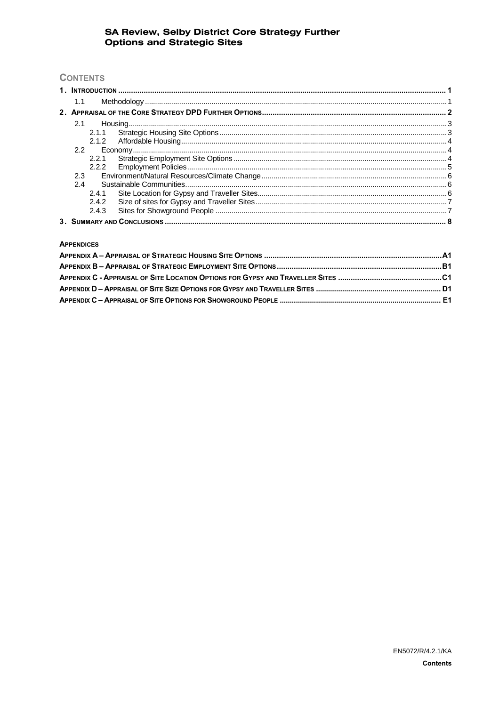# **CONTENTS**

| 1.1   |  |
|-------|--|
|       |  |
| 2.1   |  |
|       |  |
|       |  |
|       |  |
|       |  |
|       |  |
| 2.3   |  |
| 2.4   |  |
| 2.4.1 |  |
| 2.4.2 |  |
| 2.4.3 |  |
|       |  |

#### **APPENDICES**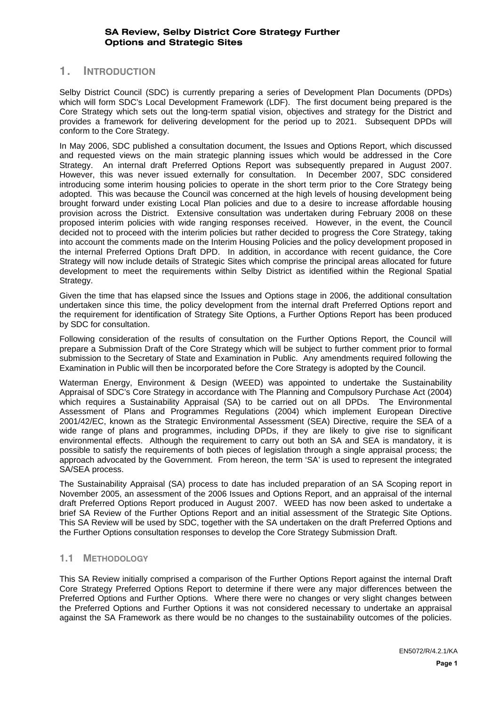# **1. INTRODUCTION**

Selby District Council (SDC) is currently preparing a series of Development Plan Documents (DPDs) which will form SDC's Local Development Framework (LDF). The first document being prepared is the Core Strategy which sets out the long-term spatial vision, objectives and strategy for the District and provides a framework for delivering development for the period up to 2021. Subsequent DPDs will conform to the Core Strategy.

In May 2006, SDC published a consultation document, the Issues and Options Report, which discussed and requested views on the main strategic planning issues which would be addressed in the Core Strategy. An internal draft Preferred Options Report was subsequently prepared in August 2007. However, this was never issued externally for consultation. In December 2007, SDC considered introducing some interim housing policies to operate in the short term prior to the Core Strategy being adopted. This was because the Council was concerned at the high levels of housing development being brought forward under existing Local Plan policies and due to a desire to increase affordable housing provision across the District. Extensive consultation was undertaken during February 2008 on these proposed interim policies with wide ranging responses received. However, in the event, the Council decided not to proceed with the interim policies but rather decided to progress the Core Strategy, taking into account the comments made on the Interim Housing Policies and the policy development proposed in the internal Preferred Options Draft DPD. In addition, in accordance with recent guidance, the Core Strategy will now include details of Strategic Sites which comprise the principal areas allocated for future development to meet the requirements within Selby District as identified within the Regional Spatial Strategy.

Given the time that has elapsed since the Issues and Options stage in 2006, the additional consultation undertaken since this time, the policy development from the internal draft Preferred Options report and the requirement for identification of Strategy Site Options, a Further Options Report has been produced by SDC for consultation.

Following consideration of the results of consultation on the Further Options Report, the Council will prepare a Submission Draft of the Core Strategy which will be subject to further comment prior to formal submission to the Secretary of State and Examination in Public. Any amendments required following the Examination in Public will then be incorporated before the Core Strategy is adopted by the Council.

Waterman Energy, Environment & Design (WEED) was appointed to undertake the Sustainability Appraisal of SDC's Core Strategy in accordance with The Planning and Compulsory Purchase Act (2004) which requires a Sustainability Appraisal (SA) to be carried out on all DPDs. The Environmental Assessment of Plans and Programmes Regulations (2004) which implement European Directive 2001/42/EC, known as the Strategic Environmental Assessment (SEA) Directive, require the SEA of a wide range of plans and programmes, including DPDs, if they are likely to give rise to significant environmental effects. Although the requirement to carry out both an SA and SEA is mandatory, it is possible to satisfy the requirements of both pieces of legislation through a single appraisal process; the approach advocated by the Government. From hereon, the term 'SA' is used to represent the integrated SA/SEA process.

The Sustainability Appraisal (SA) process to date has included preparation of an SA Scoping report in November 2005, an assessment of the 2006 Issues and Options Report, and an appraisal of the internal draft Preferred Options Report produced in August 2007. WEED has now been asked to undertake a brief SA Review of the Further Options Report and an initial assessment of the Strategic Site Options. This SA Review will be used by SDC, together with the SA undertaken on the draft Preferred Options and the Further Options consultation responses to develop the Core Strategy Submission Draft.

#### **1.1 METHODOLOGY**

This SA Review initially comprised a comparison of the Further Options Report against the internal Draft Core Strategy Preferred Options Report to determine if there were any major differences between the Preferred Options and Further Options. Where there were no changes or very slight changes between the Preferred Options and Further Options it was not considered necessary to undertake an appraisal against the SA Framework as there would be no changes to the sustainability outcomes of the policies.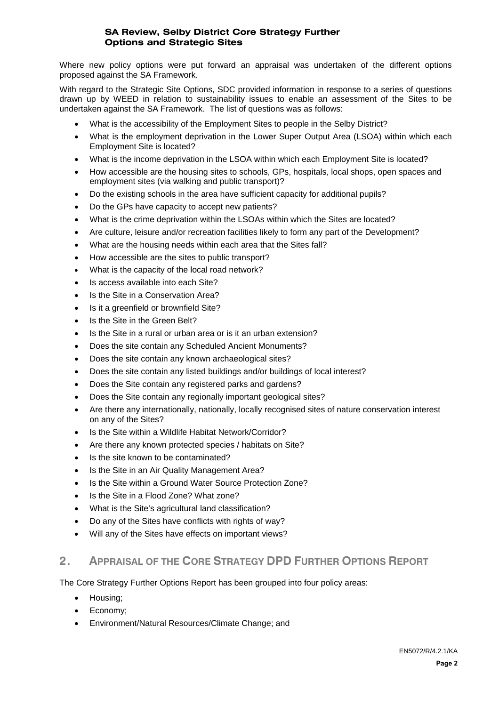Where new policy options were put forward an appraisal was undertaken of the different options proposed against the SA Framework.

With regard to the Strategic Site Options, SDC provided information in response to a series of questions drawn up by WEED in relation to sustainability issues to enable an assessment of the Sites to be undertaken against the SA Framework. The list of questions was as follows:

- What is the accessibility of the Employment Sites to people in the Selby District?
- What is the employment deprivation in the Lower Super Output Area (LSOA) within which each Employment Site is located?
- What is the income deprivation in the LSOA within which each Employment Site is located?
- How accessible are the housing sites to schools, GPs, hospitals, local shops, open spaces and employment sites (via walking and public transport)?
- Do the existing schools in the area have sufficient capacity for additional pupils?
- Do the GPs have capacity to accept new patients?
- What is the crime deprivation within the LSOAs within which the Sites are located?
- Are culture, leisure and/or recreation facilities likely to form any part of the Development?
- What are the housing needs within each area that the Sites fall?
- How accessible are the sites to public transport?
- What is the capacity of the local road network?
- Is access available into each Site?
- Is the Site in a Conservation Area?
- Is it a greenfield or brownfield Site?
- Is the Site in the Green Belt?
- Is the Site in a rural or urban area or is it an urban extension?
- Does the site contain any Scheduled Ancient Monuments?
- Does the site contain any known archaeological sites?
- Does the site contain any listed buildings and/or buildings of local interest?
- Does the Site contain any registered parks and gardens?
- Does the Site contain any regionally important geological sites?
- Are there any internationally, nationally, locally recognised sites of nature conservation interest on any of the Sites?
- Is the Site within a Wildlife Habitat Network/Corridor?
- Are there any known protected species / habitats on Site?
- Is the site known to be contaminated?
- Is the Site in an Air Quality Management Area?
- Is the Site within a Ground Water Source Protection Zone?
- Is the Site in a Flood Zone? What zone?
- What is the Site's agricultural land classification?
- Do any of the Sites have conflicts with rights of way?
- Will any of the Sites have effects on important views?

# **2. APPRAISAL OF THE CORE STRATEGY DPD FURTHER OPTIONS REPORT**

The Core Strategy Further Options Report has been grouped into four policy areas:

- Housing;
- Economy;
- Environment/Natural Resources/Climate Change; and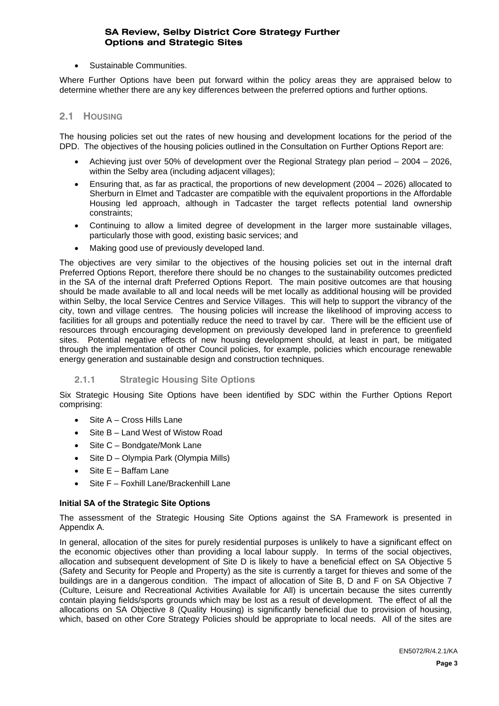• Sustainable Communities.

Where Further Options have been put forward within the policy areas they are appraised below to determine whether there are any key differences between the preferred options and further options.

## **2.1 HOUSING**

The housing policies set out the rates of new housing and development locations for the period of the DPD. The objectives of the housing policies outlined in the Consultation on Further Options Report are:

- Achieving just over 50% of development over the Regional Strategy plan period 2004 2026, within the Selby area (including adjacent villages);
- Ensuring that, as far as practical, the proportions of new development (2004 2026) allocated to Sherburn in Elmet and Tadcaster are compatible with the equivalent proportions in the Affordable Housing led approach, although in Tadcaster the target reflects potential land ownership constraints;
- Continuing to allow a limited degree of development in the larger more sustainable villages, particularly those with good, existing basic services; and
- Making good use of previously developed land.

The objectives are very similar to the objectives of the housing policies set out in the internal draft Preferred Options Report, therefore there should be no changes to the sustainability outcomes predicted in the SA of the internal draft Preferred Options Report. The main positive outcomes are that housing should be made available to all and local needs will be met locally as additional housing will be provided within Selby, the local Service Centres and Service Villages. This will help to support the vibrancy of the city, town and village centres. The housing policies will increase the likelihood of improving access to facilities for all groups and potentially reduce the need to travel by car. There will be the efficient use of resources through encouraging development on previously developed land in preference to greenfield sites. Potential negative effects of new housing development should, at least in part, be mitigated through the implementation of other Council policies, for example, policies which encourage renewable energy generation and sustainable design and construction techniques.

#### **2.1.1 Strategic Housing Site Options**

Six Strategic Housing Site Options have been identified by SDC within the Further Options Report comprising:

- Site A Cross Hills Lane
- Site B Land West of Wistow Road
- Site C Bondgate/Monk Lane
- Site D Olympia Park (Olympia Mills)
- Site E Baffam Lane
- Site F Foxhill Lane/Brackenhill Lane

#### **Initial SA of the Strategic Site Options**

The assessment of the Strategic Housing Site Options against the SA Framework is presented in Appendix A.

In general, allocation of the sites for purely residential purposes is unlikely to have a significant effect on the economic objectives other than providing a local labour supply. In terms of the social objectives, allocation and subsequent development of Site D is likely to have a beneficial effect on SA Objective 5 (Safety and Security for People and Property) as the site is currently a target for thieves and some of the buildings are in a dangerous condition. The impact of allocation of Site B, D and F on SA Objective 7 (Culture, Leisure and Recreational Activities Available for All) is uncertain because the sites currently contain playing fields/sports grounds which may be lost as a result of development. The effect of all the allocations on SA Objective 8 (Quality Housing) is significantly beneficial due to provision of housing, which, based on other Core Strategy Policies should be appropriate to local needs. All of the sites are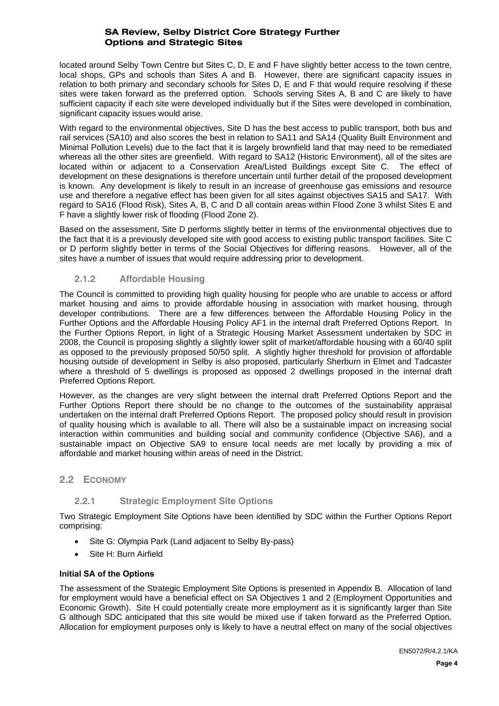located around Selby Town Centre but Sites C, D, E and F have slightly better access to the town centre, local shops, GPs and schools than Sites A and B. However, there are significant capacity issues in relation to both primary and secondary schools for Sites D, E and F that would require resolving if these sites were taken forward as the preferred option. Schools serving Sites A, B and C are likely to have sufficient capacity if each site were developed individually but if the Sites were developed in combination, significant capacity issues would arise.

With regard to the environmental objectives, Site D has the best access to public transport, both bus and rail services (SA10) and also scores the best in relation to SA11 and SA14 (Quality Built Environment and Minimal Pollution Levels) due to the fact that it is largely brownfield land that may need to be remediated whereas all the other sites are greenfield. With regard to SA12 (Historic Environment), all of the sites are located within or adjacent to a Conservation Area/Listed Buildings except Site C. The effect of development on these designations is therefore uncertain until further detail of the proposed development is known. Any development is likely to result in an increase of greenhouse gas emissions and resource use and therefore a negative effect has been given for all sites against objectives SA15 and SA17. With regard to SA16 (Flood Risk), Sites A, B, C and D all contain areas within Flood Zone 3 whilst Sites E and F have a slightly lower risk of flooding (Flood Zone 2).

Based on the assessment, Site D performs slightly better in terms of the environmental objectives due to the fact that it is a previously developed site with good access to existing public transport facilities. Site C or D perform slightly better in terms of the Social Objectives for differing reasons. However, all of the sites have a number of issues that would require addressing prior to development.

# **2.1.2 Affordable Housing**

The Council is committed to providing high quality housing for people who are unable to access or afford market housing and aims to provide affordable housing in association with market housing, through developer contributions. There are a few differences between the Affordable Housing Policy in the Further Options and the Affordable Housing Policy AF1 in the internal draft Preferred Options Report. In the Further Options Report, in light of a Strategic Housing Market Assessment undertaken by SDC in 2008, the Council is proposing slightly a slightly lower split of market/affordable housing with a 60/40 split as opposed to the previously proposed 50/50 split. A slightly higher threshold for provision of affordable housing outside of development in Selby is also proposed, particularly Sherburn in Elmet and Tadcaster where a threshold of 5 dwellings is proposed as opposed 2 dwellings proposed in the internal draft Preferred Options Report.

However, as the changes are very slight between the internal draft Preferred Options Report and the Further Options Report there should be no change to the outcomes of the sustainability appraisal undertaken on the internal draft Preferred Options Report. The proposed policy should result in provision of quality housing which is available to all. There will also be a sustainable impact on increasing social interaction within communities and building social and community confidence (Objective SA6), and a sustainable impact on Objective SA9 to ensure local needs are met locally by providing a mix of affordable and market housing within areas of need in the District.

#### **2.2 ECONOMY**

# **2.2.1 Strategic Employment Site Options**

Two Strategic Employment Site Options have been identified by SDC within the Further Options Report comprising:

- Site G: Olympia Park (Land adjacent to Selby By-pass)
- Site H: Burn Airfield

#### **Initial SA of the Options**

The assessment of the Strategic Employment Site Options is presented in Appendix B. Allocation of land for employment would have a beneficial effect on SA Objectives 1 and 2 (Employment Opportunities and Economic Growth). Site H could potentially create more employment as it is significantly larger than Site G although SDC anticipated that this site would be mixed use if taken forward as the Preferred Option. Allocation for employment purposes only is likely to have a neutral effect on many of the social objectives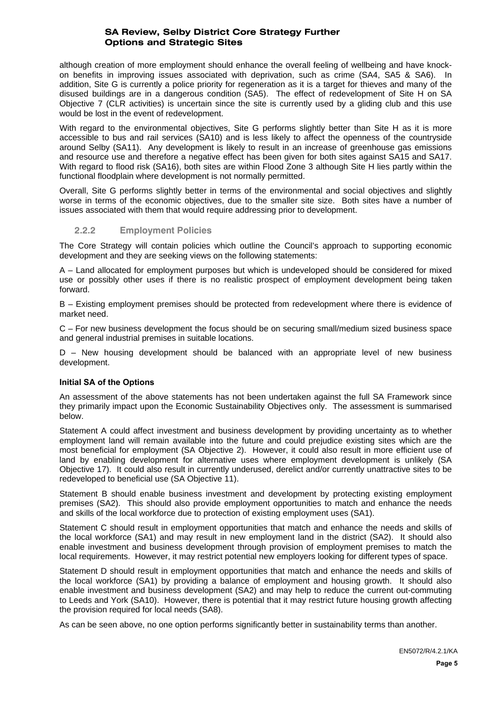although creation of more employment should enhance the overall feeling of wellbeing and have knockon benefits in improving issues associated with deprivation, such as crime (SA4, SA5 & SA6). In addition, Site G is currently a police priority for regeneration as it is a target for thieves and many of the disused buildings are in a dangerous condition (SA5). The effect of redevelopment of Site H on SA Objective 7 (CLR activities) is uncertain since the site is currently used by a gliding club and this use would be lost in the event of redevelopment.

With regard to the environmental objectives, Site G performs slightly better than Site H as it is more accessible to bus and rail services (SA10) and is less likely to affect the openness of the countryside around Selby (SA11). Any development is likely to result in an increase of greenhouse gas emissions and resource use and therefore a negative effect has been given for both sites against SA15 and SA17. With regard to flood risk (SA16), both sites are within Flood Zone 3 although Site H lies partly within the functional floodplain where development is not normally permitted.

Overall, Site G performs slightly better in terms of the environmental and social objectives and slightly worse in terms of the economic objectives, due to the smaller site size. Both sites have a number of issues associated with them that would require addressing prior to development.

#### **2.2.2 Employment Policies**

The Core Strategy will contain policies which outline the Council's approach to supporting economic development and they are seeking views on the following statements:

A – Land allocated for employment purposes but which is undeveloped should be considered for mixed use or possibly other uses if there is no realistic prospect of employment development being taken forward.

B – Existing employment premises should be protected from redevelopment where there is evidence of market need.

C – For new business development the focus should be on securing small/medium sized business space and general industrial premises in suitable locations.

D – New housing development should be balanced with an appropriate level of new business development.

#### **Initial SA of the Options**

An assessment of the above statements has not been undertaken against the full SA Framework since they primarily impact upon the Economic Sustainability Objectives only. The assessment is summarised below.

Statement A could affect investment and business development by providing uncertainty as to whether employment land will remain available into the future and could prejudice existing sites which are the most beneficial for employment (SA Objective 2). However, it could also result in more efficient use of land by enabling development for alternative uses where employment development is unlikely (SA Objective 17). It could also result in currently underused, derelict and/or currently unattractive sites to be redeveloped to beneficial use (SA Objective 11).

Statement B should enable business investment and development by protecting existing employment premises (SA2). This should also provide employment opportunities to match and enhance the needs and skills of the local workforce due to protection of existing employment uses (SA1).

Statement C should result in employment opportunities that match and enhance the needs and skills of the local workforce (SA1) and may result in new employment land in the district (SA2). It should also enable investment and business development through provision of employment premises to match the local requirements. However, it may restrict potential new employers looking for different types of space.

Statement D should result in employment opportunities that match and enhance the needs and skills of the local workforce (SA1) by providing a balance of employment and housing growth. It should also enable investment and business development (SA2) and may help to reduce the current out-commuting to Leeds and York (SA10). However, there is potential that it may restrict future housing growth affecting the provision required for local needs (SA8).

As can be seen above, no one option performs significantly better in sustainability terms than another.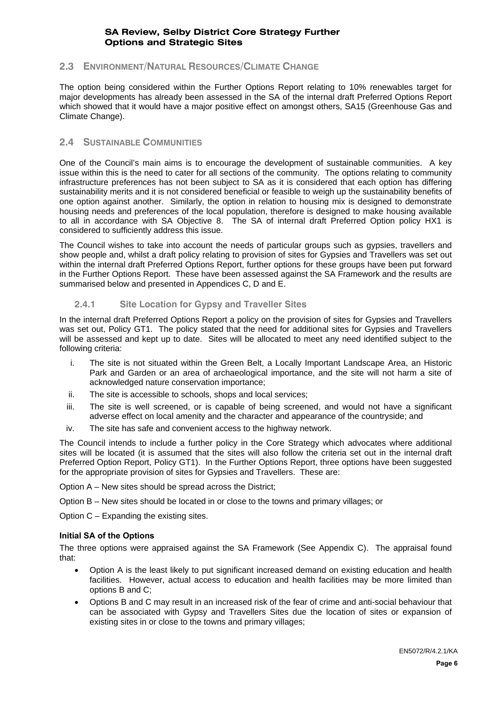## **2.3 ENVIRONMENT/NATURAL RESOURCES/CLIMATE CHANGE**

The option being considered within the Further Options Report relating to 10% renewables target for major developments has already been assessed in the SA of the internal draft Preferred Options Report which showed that it would have a major positive effect on amongst others, SA15 (Greenhouse Gas and Climate Change).

# **2.4 SUSTAINABLE COMMUNITIES**

One of the Council's main aims is to encourage the development of sustainable communities. A key issue within this is the need to cater for all sections of the community. The options relating to community infrastructure preferences has not been subject to SA as it is considered that each option has differing sustainability merits and it is not considered beneficial or feasible to weigh up the sustainability benefits of one option against another. Similarly, the option in relation to housing mix is designed to demonstrate housing needs and preferences of the local population, therefore is designed to make housing available to all in accordance with SA Objective 8. The SA of internal draft Preferred Option policy HX1 is considered to sufficiently address this issue.

The Council wishes to take into account the needs of particular groups such as gypsies, travellers and show people and, whilst a draft policy relating to provision of sites for Gypsies and Travellers was set out within the internal draft Preferred Options Report, further options for these groups have been put forward in the Further Options Report. These have been assessed against the SA Framework and the results are summarised below and presented in Appendices C, D and E.

#### **2.4.1 Site Location for Gypsy and Traveller Sites**

In the internal draft Preferred Options Report a policy on the provision of sites for Gypsies and Travellers was set out, Policy GT1. The policy stated that the need for additional sites for Gypsies and Travellers will be assessed and kept up to date. Sites will be allocated to meet any need identified subject to the following criteria:

- i. The site is not situated within the Green Belt, a Locally Important Landscape Area, an Historic Park and Garden or an area of archaeological importance, and the site will not harm a site of acknowledged nature conservation importance;
- ii. The site is accessible to schools, shops and local services;
- iii. The site is well screened, or is capable of being screened, and would not have a significant adverse effect on local amenity and the character and appearance of the countryside; and
- iv. The site has safe and convenient access to the highway network.

The Council intends to include a further policy in the Core Strategy which advocates where additional sites will be located (it is assumed that the sites will also follow the criteria set out in the internal draft Preferred Option Report, Policy GT1). In the Further Options Report, three options have been suggested for the appropriate provision of sites for Gypsies and Travellers. These are:

Option A – New sites should be spread across the District;

Option B – New sites should be located in or close to the towns and primary villages; or

Option C – Expanding the existing sites.

#### **Initial SA of the Options**

The three options were appraised against the SA Framework (See Appendix C). The appraisal found that:

- Option A is the least likely to put significant increased demand on existing education and health facilities. However, actual access to education and health facilities may be more limited than options B and C;
- Options B and C may result in an increased risk of the fear of crime and anti-social behaviour that can be associated with Gypsy and Travellers Sites due the location of sites or expansion of existing sites in or close to the towns and primary villages;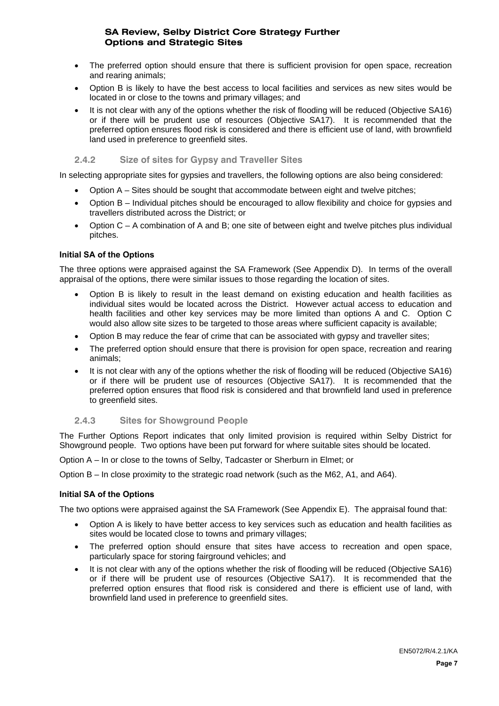- The preferred option should ensure that there is sufficient provision for open space, recreation and rearing animals;
- Option B is likely to have the best access to local facilities and services as new sites would be located in or close to the towns and primary villages; and
- It is not clear with any of the options whether the risk of flooding will be reduced (Objective SA16) or if there will be prudent use of resources (Objective SA17). It is recommended that the preferred option ensures flood risk is considered and there is efficient use of land, with brownfield land used in preference to greenfield sites.

#### **2.4.2 Size of sites for Gypsy and Traveller Sites**

In selecting appropriate sites for gypsies and travellers, the following options are also being considered:

- Option A Sites should be sought that accommodate between eight and twelve pitches:
- Option B Individual pitches should be encouraged to allow flexibility and choice for gypsies and travellers distributed across the District; or
- Option C A combination of A and B; one site of between eight and twelve pitches plus individual pitches.

#### **Initial SA of the Options**

The three options were appraised against the SA Framework (See Appendix D). In terms of the overall appraisal of the options, there were similar issues to those regarding the location of sites.

- Option B is likely to result in the least demand on existing education and health facilities as individual sites would be located across the District. However actual access to education and health facilities and other key services may be more limited than options A and C. Option C would also allow site sizes to be targeted to those areas where sufficient capacity is available;
- Option B may reduce the fear of crime that can be associated with gypsy and traveller sites;
- The preferred option should ensure that there is provision for open space, recreation and rearing animals;
- It is not clear with any of the options whether the risk of flooding will be reduced (Objective SA16) or if there will be prudent use of resources (Objective SA17). It is recommended that the preferred option ensures that flood risk is considered and that brownfield land used in preference to greenfield sites.

#### **2.4.3 Sites for Showground People**

The Further Options Report indicates that only limited provision is required within Selby District for Showground people. Two options have been put forward for where suitable sites should be located.

Option A – In or close to the towns of Selby, Tadcaster or Sherburn in Elmet; or

Option B – In close proximity to the strategic road network (such as the M62, A1, and A64).

#### **Initial SA of the Options**

The two options were appraised against the SA Framework (See Appendix E). The appraisal found that:

- Option A is likely to have better access to key services such as education and health facilities as sites would be located close to towns and primary villages;
- The preferred option should ensure that sites have access to recreation and open space. particularly space for storing fairground vehicles; and
- It is not clear with any of the options whether the risk of flooding will be reduced (Objective SA16) or if there will be prudent use of resources (Objective SA17). It is recommended that the preferred option ensures that flood risk is considered and there is efficient use of land, with brownfield land used in preference to greenfield sites.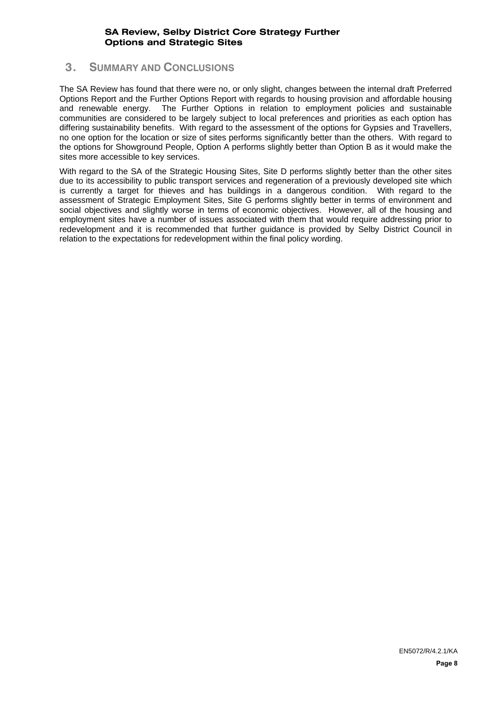# **3. SUMMARY AND CONCLUSIONS**

The SA Review has found that there were no, or only slight, changes between the internal draft Preferred Options Report and the Further Options Report with regards to housing provision and affordable housing and renewable energy. The Further Options in relation to employment policies and sustainable communities are considered to be largely subject to local preferences and priorities as each option has differing sustainability benefits. With regard to the assessment of the options for Gypsies and Travellers, no one option for the location or size of sites performs significantly better than the others. With regard to the options for Showground People, Option A performs slightly better than Option B as it would make the sites more accessible to key services.

With regard to the SA of the Strategic Housing Sites, Site D performs slightly better than the other sites due to its accessibility to public transport services and regeneration of a previously developed site which is currently a target for thieves and has buildings in a dangerous condition. With regard to the assessment of Strategic Employment Sites, Site G performs slightly better in terms of environment and social objectives and slightly worse in terms of economic objectives. However, all of the housing and employment sites have a number of issues associated with them that would require addressing prior to redevelopment and it is recommended that further guidance is provided by Selby District Council in relation to the expectations for redevelopment within the final policy wording.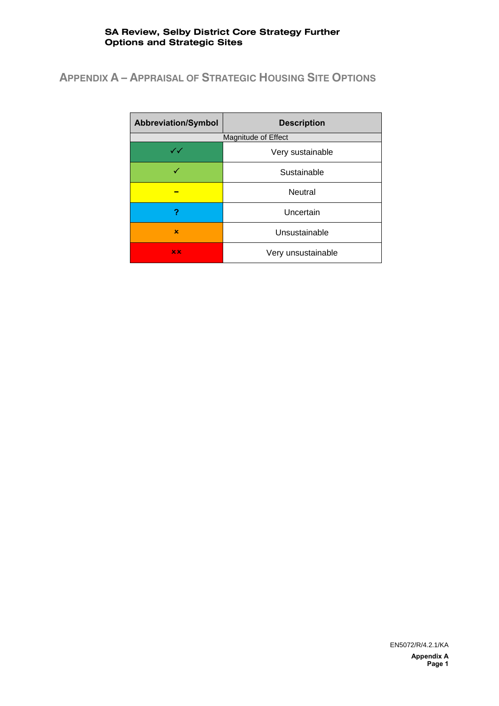# **APPENDIX A – APPRAISAL OF STRATEGIC HOUSING SITE OPTIONS**

| <b>Abbreviation/Symbol</b> | <b>Description</b>  |  |  |
|----------------------------|---------------------|--|--|
|                            | Magnitude of Effect |  |  |
| $\checkmark\checkmark$     | Very sustainable    |  |  |
|                            | Sustainable         |  |  |
|                            | <b>Neutral</b>      |  |  |
| ?                          | Uncertain           |  |  |
| x                          | Unsustainable       |  |  |
| x x                        | Very unsustainable  |  |  |

EN5072/R/4.2.1/KA **Appendix A**

**Page 1**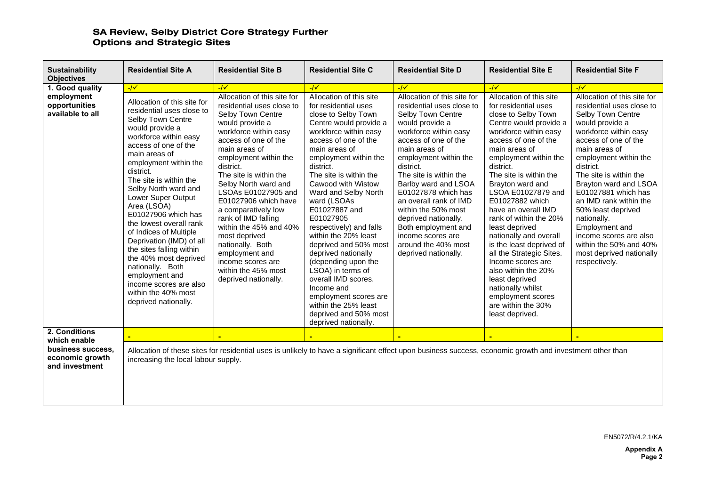| <b>Sustainability</b><br><b>Objectives</b>                                          | <b>Residential Site A</b>                                                                                                                                                                                                                                                                                                                                                                                                                                                                                                                                                   | <b>Residential Site B</b>                                                                                                                                                                                                                                                                                                                                                                                                                                                                                    | <b>Residential Site C</b>                                                                                                                                                                                                                                                                                                                                                                                                                                                                                                                                                                                           | <b>Residential Site D</b>                                                                                                                                                                                                                                                                                                                                                                                                                             | <b>Residential Site E</b>                                                                                                                                                                                                                                                                                                                                                                                                                                                                                                                                                                             | <b>Residential Site F</b>                                                                                                                                                                                                                                                                                                                                                                                                                                            |
|-------------------------------------------------------------------------------------|-----------------------------------------------------------------------------------------------------------------------------------------------------------------------------------------------------------------------------------------------------------------------------------------------------------------------------------------------------------------------------------------------------------------------------------------------------------------------------------------------------------------------------------------------------------------------------|--------------------------------------------------------------------------------------------------------------------------------------------------------------------------------------------------------------------------------------------------------------------------------------------------------------------------------------------------------------------------------------------------------------------------------------------------------------------------------------------------------------|---------------------------------------------------------------------------------------------------------------------------------------------------------------------------------------------------------------------------------------------------------------------------------------------------------------------------------------------------------------------------------------------------------------------------------------------------------------------------------------------------------------------------------------------------------------------------------------------------------------------|-------------------------------------------------------------------------------------------------------------------------------------------------------------------------------------------------------------------------------------------------------------------------------------------------------------------------------------------------------------------------------------------------------------------------------------------------------|-------------------------------------------------------------------------------------------------------------------------------------------------------------------------------------------------------------------------------------------------------------------------------------------------------------------------------------------------------------------------------------------------------------------------------------------------------------------------------------------------------------------------------------------------------------------------------------------------------|----------------------------------------------------------------------------------------------------------------------------------------------------------------------------------------------------------------------------------------------------------------------------------------------------------------------------------------------------------------------------------------------------------------------------------------------------------------------|
|                                                                                     | $-/-$                                                                                                                                                                                                                                                                                                                                                                                                                                                                                                                                                                       | $-1$                                                                                                                                                                                                                                                                                                                                                                                                                                                                                                         | $-1$                                                                                                                                                                                                                                                                                                                                                                                                                                                                                                                                                                                                                | $-1$                                                                                                                                                                                                                                                                                                                                                                                                                                                  | $-1$                                                                                                                                                                                                                                                                                                                                                                                                                                                                                                                                                                                                  | $-1$                                                                                                                                                                                                                                                                                                                                                                                                                                                                 |
| 1. Good quality<br>employment<br>opportunities<br>available to all<br>2. Conditions | Allocation of this site for<br>residential uses close to<br>Selby Town Centre<br>would provide a<br>workforce within easy<br>access of one of the<br>main areas of<br>employment within the<br>district.<br>The site is within the<br>Selby North ward and<br>Lower Super Output<br>Area (LSOA)<br>E01027906 which has<br>the lowest overall rank<br>of Indices of Multiple<br>Deprivation (IMD) of all<br>the sites falling within<br>the 40% most deprived<br>nationally. Both<br>employment and<br>income scores are also<br>within the 40% most<br>deprived nationally. | Allocation of this site for<br>residential uses close to<br>Selby Town Centre<br>would provide a<br>workforce within easy<br>access of one of the<br>main areas of<br>employment within the<br>district.<br>The site is within the<br>Selby North ward and<br>LSOAs E01027905 and<br>E01027906 which have<br>a comparatively low<br>rank of IMD falling<br>within the 45% and 40%<br>most deprived<br>nationally. Both<br>employment and<br>income scores are<br>within the 45% most<br>deprived nationally. | Allocation of this site<br>for residential uses<br>close to Selby Town<br>Centre would provide a<br>workforce within easy<br>access of one of the<br>main areas of<br>employment within the<br>district.<br>The site is within the<br>Cawood with Wistow<br>Ward and Selby North<br>ward (LSOAs<br>E01027887 and<br>E01027905<br>respectively) and falls<br>within the 20% least<br>deprived and 50% most<br>deprived nationally<br>(depending upon the<br>LSOA) in terms of<br>overall IMD scores.<br>Income and<br>employment scores are<br>within the 25% least<br>deprived and 50% most<br>deprived nationally. | Allocation of this site for<br>residential uses close to<br>Selby Town Centre<br>would provide a<br>workforce within easy<br>access of one of the<br>main areas of<br>employment within the<br>district.<br>The site is within the<br>Barlby ward and LSOA<br>E01027878 which has<br>an overall rank of IMD<br>within the 50% most<br>deprived nationally.<br>Both employment and<br>income scores are<br>around the 40% most<br>deprived nationally. | Allocation of this site<br>for residential uses<br>close to Selby Town<br>Centre would provide a<br>workforce within easy<br>access of one of the<br>main areas of<br>employment within the<br>district.<br>The site is within the<br>Brayton ward and<br>LSOA E01027879 and<br>E01027882 which<br>have an overall IMD<br>rank of within the 20%<br>least deprived<br>nationally and overall<br>is the least deprived of<br>all the Strategic Sites.<br>Income scores are<br>also within the 20%<br>least deprived<br>nationally whilst<br>employment scores<br>are within the 30%<br>least deprived. | Allocation of this site for<br>residential uses close to<br>Selby Town Centre<br>would provide a<br>workforce within easy<br>access of one of the<br>main areas of<br>employment within the<br>district.<br>The site is within the<br>Brayton ward and LSOA<br>E01027881 which has<br>an IMD rank within the<br>50% least deprived<br>nationally.<br>Employment and<br>income scores are also<br>within the 50% and 40%<br>most deprived nationally<br>respectively. |
|                                                                                     |                                                                                                                                                                                                                                                                                                                                                                                                                                                                                                                                                                             |                                                                                                                                                                                                                                                                                                                                                                                                                                                                                                              |                                                                                                                                                                                                                                                                                                                                                                                                                                                                                                                                                                                                                     |                                                                                                                                                                                                                                                                                                                                                                                                                                                       |                                                                                                                                                                                                                                                                                                                                                                                                                                                                                                                                                                                                       |                                                                                                                                                                                                                                                                                                                                                                                                                                                                      |
| which enable<br>business success.<br>economic growth<br>and investment              | increasing the local labour supply.                                                                                                                                                                                                                                                                                                                                                                                                                                                                                                                                         | Allocation of these sites for residential uses is unlikely to have a significant effect upon business success, economic growth and investment other than                                                                                                                                                                                                                                                                                                                                                     |                                                                                                                                                                                                                                                                                                                                                                                                                                                                                                                                                                                                                     |                                                                                                                                                                                                                                                                                                                                                                                                                                                       |                                                                                                                                                                                                                                                                                                                                                                                                                                                                                                                                                                                                       |                                                                                                                                                                                                                                                                                                                                                                                                                                                                      |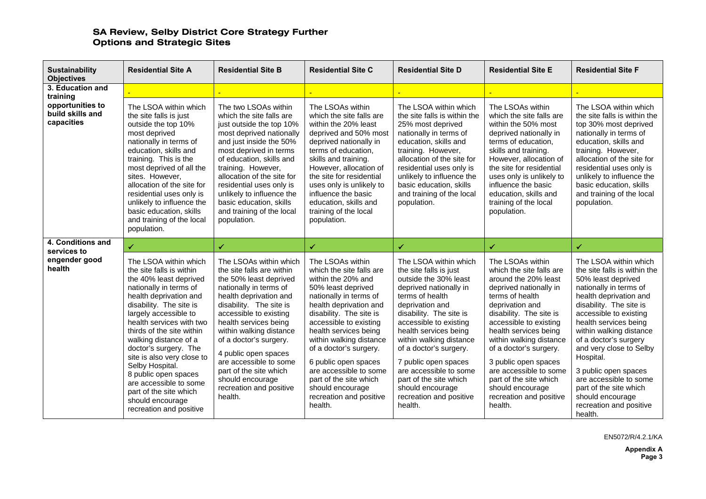| <b>Sustainability</b><br><b>Objectives</b>                     | <b>Residential Site A</b>                                                                                                                                                                                                                                                                                                                                                                                                                                                  | <b>Residential Site B</b>                                                                                                                                                                                                                                                                                                                                                                                  | <b>Residential Site C</b>                                                                                                                                                                                                                                                                                                                                                                                             | <b>Residential Site D</b>                                                                                                                                                                                                                                                                                                                                                                                         | <b>Residential Site E</b>                                                                                                                                                                                                                                                                                                                                                                                     | <b>Residential Site F</b>                                                                                                                                                                                                                                                                                                                                                                                                                       |
|----------------------------------------------------------------|----------------------------------------------------------------------------------------------------------------------------------------------------------------------------------------------------------------------------------------------------------------------------------------------------------------------------------------------------------------------------------------------------------------------------------------------------------------------------|------------------------------------------------------------------------------------------------------------------------------------------------------------------------------------------------------------------------------------------------------------------------------------------------------------------------------------------------------------------------------------------------------------|-----------------------------------------------------------------------------------------------------------------------------------------------------------------------------------------------------------------------------------------------------------------------------------------------------------------------------------------------------------------------------------------------------------------------|-------------------------------------------------------------------------------------------------------------------------------------------------------------------------------------------------------------------------------------------------------------------------------------------------------------------------------------------------------------------------------------------------------------------|---------------------------------------------------------------------------------------------------------------------------------------------------------------------------------------------------------------------------------------------------------------------------------------------------------------------------------------------------------------------------------------------------------------|-------------------------------------------------------------------------------------------------------------------------------------------------------------------------------------------------------------------------------------------------------------------------------------------------------------------------------------------------------------------------------------------------------------------------------------------------|
| 3. Education and                                               |                                                                                                                                                                                                                                                                                                                                                                                                                                                                            |                                                                                                                                                                                                                                                                                                                                                                                                            |                                                                                                                                                                                                                                                                                                                                                                                                                       |                                                                                                                                                                                                                                                                                                                                                                                                                   |                                                                                                                                                                                                                                                                                                                                                                                                               |                                                                                                                                                                                                                                                                                                                                                                                                                                                 |
| training<br>opportunities to<br>build skills and<br>capacities | The LSOA within which<br>the site falls is just<br>outside the top 10%<br>most deprived<br>nationally in terms of<br>education, skills and<br>training. This is the<br>most deprived of all the<br>sites. However,<br>allocation of the site for<br>residential uses only is<br>unlikely to influence the<br>basic education, skills<br>and training of the local<br>population.                                                                                           | The two LSOAs within<br>which the site falls are<br>just outside the top 10%<br>most deprived nationally<br>and just inside the 50%<br>most deprived in terms<br>of education, skills and<br>training. However,<br>allocation of the site for<br>residential uses only is<br>unlikely to influence the<br>basic education, skills<br>and training of the local<br>population.                              | The LSOAs within<br>which the site falls are<br>within the 20% least<br>deprived and 50% most<br>deprived nationally in<br>terms of education,<br>skills and training.<br>However, allocation of<br>the site for residential<br>uses only is unlikely to<br>influence the basic<br>education, skills and<br>training of the local<br>population.                                                                      | The LSOA within which<br>the site falls is within the<br>25% most deprived<br>nationally in terms of<br>education, skills and<br>training. However,<br>allocation of the site for<br>residential uses only is<br>unlikely to influence the<br>basic education, skills<br>and training of the local<br>population.                                                                                                 | The LSOAs within<br>which the site falls are<br>within the 50% most<br>deprived nationally in<br>terms of education,<br>skills and training.<br>However, allocation of<br>the site for residential<br>uses only is unlikely to<br>influence the basic<br>education, skills and<br>training of the local<br>population.                                                                                        | The LSOA within which<br>the site falls is within the<br>top 30% most deprived<br>nationally in terms of<br>education, skills and<br>training. However,<br>allocation of the site for<br>residential uses only is<br>unlikely to influence the<br>basic education, skills<br>and training of the local<br>population.                                                                                                                           |
| 4. Conditions and<br>services to                               | $\checkmark$                                                                                                                                                                                                                                                                                                                                                                                                                                                               | ✓                                                                                                                                                                                                                                                                                                                                                                                                          | ✔                                                                                                                                                                                                                                                                                                                                                                                                                     | ✔                                                                                                                                                                                                                                                                                                                                                                                                                 | ✔                                                                                                                                                                                                                                                                                                                                                                                                             | $\checkmark$                                                                                                                                                                                                                                                                                                                                                                                                                                    |
| engender good<br>health                                        | The LSOA within which<br>the site falls is within<br>the 40% least deprived<br>nationally in terms of<br>health deprivation and<br>disability. The site is<br>largely accessible to<br>health services with two<br>thirds of the site within<br>walking distance of a<br>doctor's surgery. The<br>site is also very close to<br>Selby Hospital.<br>8 public open spaces<br>are accessible to some<br>part of the site which<br>should encourage<br>recreation and positive | The LSOAs within which<br>the site falls are within<br>the 50% least deprived<br>nationally in terms of<br>health deprivation and<br>disability. The site is<br>accessible to existing<br>health services being<br>within walking distance<br>of a doctor's surgery.<br>4 public open spaces<br>are accessible to some<br>part of the site which<br>should encourage<br>recreation and positive<br>health. | The LSOAs within<br>which the site falls are<br>within the 20% and<br>50% least deprived<br>nationally in terms of<br>health deprivation and<br>disability. The site is<br>accessible to existing<br>health services being<br>within walking distance<br>of a doctor's surgery.<br>6 public open spaces<br>are accessible to some<br>part of the site which<br>should encourage<br>recreation and positive<br>health. | The LSOA within which<br>the site falls is just<br>outside the 30% least<br>deprived nationally in<br>terms of health<br>deprivation and<br>disability. The site is<br>accessible to existing<br>health services being<br>within walking distance<br>of a doctor's surgery.<br>7 public open spaces<br>are accessible to some<br>part of the site which<br>should encourage<br>recreation and positive<br>health. | The LSOAs within<br>which the site falls are<br>around the 20% least<br>deprived nationally in<br>terms of health<br>deprivation and<br>disability. The site is<br>accessible to existing<br>health services being<br>within walking distance<br>of a doctor's surgery.<br>3 public open spaces<br>are accessible to some<br>part of the site which<br>should encourage<br>recreation and positive<br>health. | The LSOA within which<br>the site falls is within the<br>50% least deprived<br>nationally in terms of<br>health deprivation and<br>disability. The site is<br>accessible to existing<br>health services being<br>within walking distance<br>of a doctor's surgery<br>and very close to Selby<br>Hospital.<br>3 public open spaces<br>are accessible to some<br>part of the site which<br>should encourage<br>recreation and positive<br>health. |

EN5072/R/4.2.1/KA

**Appendix A Page 3**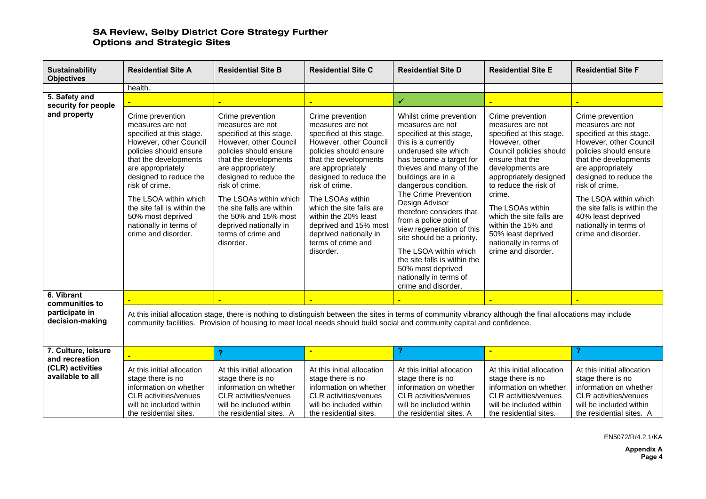| <b>Sustainability</b><br><b>Objectives</b>                                    | <b>Residential Site A</b>                                                                                                                                                                                                                                                                                                                    | <b>Residential Site B</b>                                                                                                                                                                                                                                                                                                                                  | <b>Residential Site C</b>                                                                                                                                                                                                                                                                                                                                                    | <b>Residential Site D</b>                                                                                                                                                                                                                                                                                                                                                                                                                                                                                            | <b>Residential Site E</b>                                                                                                                                                                                                                                                                                                                                      | <b>Residential Site F</b>                                                                                                                                                                                                                                                                                                                      |  |  |
|-------------------------------------------------------------------------------|----------------------------------------------------------------------------------------------------------------------------------------------------------------------------------------------------------------------------------------------------------------------------------------------------------------------------------------------|------------------------------------------------------------------------------------------------------------------------------------------------------------------------------------------------------------------------------------------------------------------------------------------------------------------------------------------------------------|------------------------------------------------------------------------------------------------------------------------------------------------------------------------------------------------------------------------------------------------------------------------------------------------------------------------------------------------------------------------------|----------------------------------------------------------------------------------------------------------------------------------------------------------------------------------------------------------------------------------------------------------------------------------------------------------------------------------------------------------------------------------------------------------------------------------------------------------------------------------------------------------------------|----------------------------------------------------------------------------------------------------------------------------------------------------------------------------------------------------------------------------------------------------------------------------------------------------------------------------------------------------------------|------------------------------------------------------------------------------------------------------------------------------------------------------------------------------------------------------------------------------------------------------------------------------------------------------------------------------------------------|--|--|
|                                                                               | health.                                                                                                                                                                                                                                                                                                                                      |                                                                                                                                                                                                                                                                                                                                                            |                                                                                                                                                                                                                                                                                                                                                                              |                                                                                                                                                                                                                                                                                                                                                                                                                                                                                                                      |                                                                                                                                                                                                                                                                                                                                                                |                                                                                                                                                                                                                                                                                                                                                |  |  |
| 5. Safety and                                                                 |                                                                                                                                                                                                                                                                                                                                              |                                                                                                                                                                                                                                                                                                                                                            |                                                                                                                                                                                                                                                                                                                                                                              | ✔                                                                                                                                                                                                                                                                                                                                                                                                                                                                                                                    |                                                                                                                                                                                                                                                                                                                                                                |                                                                                                                                                                                                                                                                                                                                                |  |  |
| security for people<br>and property                                           | Crime prevention<br>measures are not<br>specified at this stage.<br>However, other Council<br>policies should ensure<br>that the developments<br>are appropriately<br>designed to reduce the<br>risk of crime.<br>The LSOA within which<br>the site fall is within the<br>50% most deprived<br>nationally in terms of<br>crime and disorder. | Crime prevention<br>measures are not<br>specified at this stage.<br>However, other Council<br>policies should ensure<br>that the developments<br>are appropriately<br>designed to reduce the<br>risk of crime.<br>The LSOAs within which<br>the site falls are within<br>the 50% and 15% most<br>deprived nationally in<br>terms of crime and<br>disorder. | Crime prevention<br>measures are not<br>specified at this stage.<br>However, other Council<br>policies should ensure<br>that the developments<br>are appropriately<br>designed to reduce the<br>risk of crime.<br>The LSOAs within<br>which the site falls are<br>within the 20% least<br>deprived and 15% most<br>deprived nationally in<br>terms of crime and<br>disorder. | Whilst crime prevention<br>measures are not<br>specified at this stage,<br>this is a currently<br>underused site which<br>has become a target for<br>thieves and many of the<br>buildings are in a<br>dangerous condition.<br>The Crime Prevention<br>Design Advisor<br>therefore considers that<br>from a police point of<br>view regeneration of this<br>site should be a priority.<br>The LSOA within which<br>the site falls is within the<br>50% most deprived<br>nationally in terms of<br>crime and disorder. | Crime prevention<br>measures are not<br>specified at this stage.<br>However, other<br>Council policies should<br>ensure that the<br>developments are<br>appropriately designed<br>to reduce the risk of<br>crime.<br>The LSOAs within<br>which the site falls are<br>within the 15% and<br>50% least deprived<br>nationally in terms of<br>crime and disorder. | Crime prevention<br>measures are not<br>specified at this stage.<br>However, other Council<br>policies should ensure<br>that the developments<br>are appropriately<br>designed to reduce the<br>risk of crime.<br>The LSOA within which<br>the site falls is within the<br>40% least deprived<br>nationally in terms of<br>crime and disorder. |  |  |
| 6. Vibrant                                                                    |                                                                                                                                                                                                                                                                                                                                              |                                                                                                                                                                                                                                                                                                                                                            |                                                                                                                                                                                                                                                                                                                                                                              |                                                                                                                                                                                                                                                                                                                                                                                                                                                                                                                      |                                                                                                                                                                                                                                                                                                                                                                |                                                                                                                                                                                                                                                                                                                                                |  |  |
| communities to<br>participate in<br>decision-making                           | At this initial allocation stage, there is nothing to distinguish between the sites in terms of community vibrancy although the final allocations may include<br>community facilities. Provision of housing to meet local needs should build social and community capital and confidence.                                                    |                                                                                                                                                                                                                                                                                                                                                            |                                                                                                                                                                                                                                                                                                                                                                              |                                                                                                                                                                                                                                                                                                                                                                                                                                                                                                                      |                                                                                                                                                                                                                                                                                                                                                                |                                                                                                                                                                                                                                                                                                                                                |  |  |
| 7. Culture, leisure<br>and recreation<br>(CLR) activities<br>available to all |                                                                                                                                                                                                                                                                                                                                              | 2                                                                                                                                                                                                                                                                                                                                                          |                                                                                                                                                                                                                                                                                                                                                                              |                                                                                                                                                                                                                                                                                                                                                                                                                                                                                                                      |                                                                                                                                                                                                                                                                                                                                                                | ?                                                                                                                                                                                                                                                                                                                                              |  |  |
|                                                                               | At this initial allocation<br>stage there is no<br>information on whether<br><b>CLR</b> activities/venues<br>will be included within<br>the residential sites.                                                                                                                                                                               | At this initial allocation<br>stage there is no<br>information on whether<br><b>CLR</b> activities/venues<br>will be included within<br>the residential sites. A                                                                                                                                                                                           | At this initial allocation<br>stage there is no<br>information on whether<br><b>CLR</b> activities/venues<br>will be included within<br>the residential sites.                                                                                                                                                                                                               | At this initial allocation<br>stage there is no<br>information on whether<br><b>CLR</b> activities/venues<br>will be included within<br>the residential sites. A                                                                                                                                                                                                                                                                                                                                                     | At this initial allocation<br>stage there is no<br>information on whether<br>CLR activities/venues<br>will be included within<br>the residential sites.                                                                                                                                                                                                        | At this initial allocation<br>stage there is no<br>information on whether<br><b>CLR</b> activities/venues<br>will be included within<br>the residential sites. A                                                                                                                                                                               |  |  |

EN5072/R/4.2.1/KA

**Appendix A Page 4**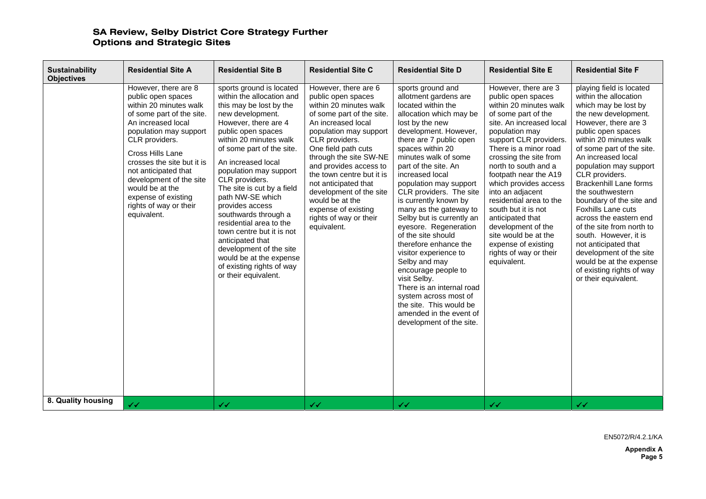| <b>Sustainability</b><br><b>Objectives</b> | <b>Residential Site A</b>                                                                                                                                                                                                                                                                                                                                   | <b>Residential Site B</b>                                                                                                                                                                                                                                                                                                                                                                                                                                                                                                                                       | <b>Residential Site C</b>                                                                                                                                                                                                                                                                                                                                                                                         | <b>Residential Site D</b>                                                                                                                                                                                                                                                                                                                                                                                                                                                                                                                                                                                                                                                                       | <b>Residential Site E</b>                                                                                                                                                                                                                                                                                                                                                                                                                                                                                | <b>Residential Site F</b>                                                                                                                                                                                                                                                                                                                                                                                                                                                                                                                                                                          |
|--------------------------------------------|-------------------------------------------------------------------------------------------------------------------------------------------------------------------------------------------------------------------------------------------------------------------------------------------------------------------------------------------------------------|-----------------------------------------------------------------------------------------------------------------------------------------------------------------------------------------------------------------------------------------------------------------------------------------------------------------------------------------------------------------------------------------------------------------------------------------------------------------------------------------------------------------------------------------------------------------|-------------------------------------------------------------------------------------------------------------------------------------------------------------------------------------------------------------------------------------------------------------------------------------------------------------------------------------------------------------------------------------------------------------------|-------------------------------------------------------------------------------------------------------------------------------------------------------------------------------------------------------------------------------------------------------------------------------------------------------------------------------------------------------------------------------------------------------------------------------------------------------------------------------------------------------------------------------------------------------------------------------------------------------------------------------------------------------------------------------------------------|----------------------------------------------------------------------------------------------------------------------------------------------------------------------------------------------------------------------------------------------------------------------------------------------------------------------------------------------------------------------------------------------------------------------------------------------------------------------------------------------------------|----------------------------------------------------------------------------------------------------------------------------------------------------------------------------------------------------------------------------------------------------------------------------------------------------------------------------------------------------------------------------------------------------------------------------------------------------------------------------------------------------------------------------------------------------------------------------------------------------|
|                                            | However, there are 8<br>public open spaces<br>within 20 minutes walk<br>of some part of the site.<br>An increased local<br>population may support<br>CLR providers.<br>Cross Hills Lane<br>crosses the site but it is<br>not anticipated that<br>development of the site<br>would be at the<br>expense of existing<br>rights of way or their<br>equivalent. | sports ground is located<br>within the allocation and<br>this may be lost by the<br>new development.<br>However, there are 4<br>public open spaces<br>within 20 minutes walk<br>of some part of the site.<br>An increased local<br>population may support<br>CLR providers.<br>The site is cut by a field<br>path NW-SE which<br>provides access<br>southwards through a<br>residential area to the<br>town centre but it is not<br>anticipated that<br>development of the site<br>would be at the expense<br>of existing rights of way<br>or their equivalent. | However, there are 6<br>public open spaces<br>within 20 minutes walk<br>of some part of the site.<br>An increased local<br>population may support<br>CLR providers.<br>One field path cuts<br>through the site SW-NE<br>and provides access to<br>the town centre but it is<br>not anticipated that<br>development of the site<br>would be at the<br>expense of existing<br>rights of way or their<br>equivalent. | sports ground and<br>allotment gardens are<br>located within the<br>allocation which may be<br>lost by the new<br>development. However,<br>there are 7 public open<br>spaces within 20<br>minutes walk of some<br>part of the site. An<br>increased local<br>population may support<br>CLR providers. The site<br>is currently known by<br>many as the gateway to<br>Selby but is currently an<br>eyesore. Regeneration<br>of the site should<br>therefore enhance the<br>visitor experience to<br>Selby and may<br>encourage people to<br>visit Selby.<br>There is an internal road<br>system across most of<br>the site. This would be<br>amended in the event of<br>development of the site. | However, there are 3<br>public open spaces<br>within 20 minutes walk<br>of some part of the<br>site. An increased local<br>population may<br>support CLR providers.<br>There is a minor road<br>crossing the site from<br>north to south and a<br>footpath near the A19<br>which provides access<br>into an adjacent<br>residential area to the<br>south but it is not<br>anticipated that<br>development of the<br>site would be at the<br>expense of existing<br>rights of way or their<br>equivalent. | playing field is located<br>within the allocation<br>which may be lost by<br>the new development.<br>However, there are 3<br>public open spaces<br>within 20 minutes walk<br>of some part of the site.<br>An increased local<br>population may support<br>CLR providers.<br><b>Brackenhill Lane forms</b><br>the southwestern<br>boundary of the site and<br>Foxhills Lane cuts<br>across the eastern end<br>of the site from north to<br>south. However, it is<br>not anticipated that<br>development of the site<br>would be at the expense<br>of existing rights of way<br>or their equivalent. |
| 8. Quality housing                         | $\checkmark$                                                                                                                                                                                                                                                                                                                                                | $\checkmark$                                                                                                                                                                                                                                                                                                                                                                                                                                                                                                                                                    | $\checkmark$                                                                                                                                                                                                                                                                                                                                                                                                      | $\checkmark$                                                                                                                                                                                                                                                                                                                                                                                                                                                                                                                                                                                                                                                                                    | $\checkmark$                                                                                                                                                                                                                                                                                                                                                                                                                                                                                             | $\checkmark$                                                                                                                                                                                                                                                                                                                                                                                                                                                                                                                                                                                       |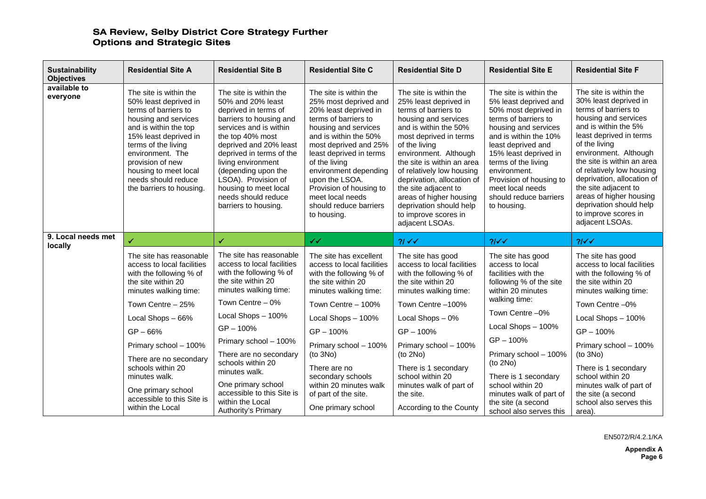| <b>Sustainability</b><br><b>Objectives</b>       | <b>Residential Site A</b>                                                                                                                                                                                                                                                                    | <b>Residential Site B</b>                                                                                                                                                                                                                                                                                                                      | <b>Residential Site C</b>                                                                                                                                                                                                                                                                                                                                 | <b>Residential Site D</b>                                                                                                                                                                                                                                                                                                                                                                                      | <b>Residential Site E</b>                                                                                                                                                                                                                                                                                                      | <b>Residential Site F</b>                                                                                                                                                                                                                                                                                                                                                                                      |
|--------------------------------------------------|----------------------------------------------------------------------------------------------------------------------------------------------------------------------------------------------------------------------------------------------------------------------------------------------|------------------------------------------------------------------------------------------------------------------------------------------------------------------------------------------------------------------------------------------------------------------------------------------------------------------------------------------------|-----------------------------------------------------------------------------------------------------------------------------------------------------------------------------------------------------------------------------------------------------------------------------------------------------------------------------------------------------------|----------------------------------------------------------------------------------------------------------------------------------------------------------------------------------------------------------------------------------------------------------------------------------------------------------------------------------------------------------------------------------------------------------------|--------------------------------------------------------------------------------------------------------------------------------------------------------------------------------------------------------------------------------------------------------------------------------------------------------------------------------|----------------------------------------------------------------------------------------------------------------------------------------------------------------------------------------------------------------------------------------------------------------------------------------------------------------------------------------------------------------------------------------------------------------|
| available to<br>everyone                         | The site is within the<br>50% least deprived in<br>terms of barriers to<br>housing and services<br>and is within the top<br>15% least deprived in<br>terms of the living<br>environment. The<br>provision of new<br>housing to meet local<br>needs should reduce<br>the barriers to housing. | The site is within the<br>50% and 20% least<br>deprived in terms of<br>barriers to housing and<br>services and is within<br>the top 40% most<br>deprived and 20% least<br>deprived in terms of the<br>living environment<br>(depending upon the<br>LSOA). Provision of<br>housing to meet local<br>needs should reduce<br>barriers to housing. | The site is within the<br>25% most deprived and<br>20% least deprived in<br>terms of barriers to<br>housing and services<br>and is within the 50%<br>most deprived and 25%<br>least deprived in terms<br>of the living<br>environment depending<br>upon the LSOA.<br>Provision of housing to<br>meet local needs<br>should reduce barriers<br>to housing. | The site is within the<br>25% least deprived in<br>terms of barriers to<br>housing and services<br>and is within the 50%<br>most deprived in terms<br>of the living<br>environment. Although<br>the site is within an area<br>of relatively low housing<br>deprivation, allocation of<br>the site adjacent to<br>areas of higher housing<br>deprivation should help<br>to improve scores in<br>adjacent LSOAs. | The site is within the<br>5% least deprived and<br>50% most deprived in<br>terms of barriers to<br>housing and services<br>and is within the 10%<br>least deprived and<br>15% least deprived in<br>terms of the living<br>environment.<br>Provision of housing to<br>meet local needs<br>should reduce barriers<br>to housing. | The site is within the<br>30% least deprived in<br>terms of barriers to<br>housing and services<br>and is within the 5%<br>least deprived in terms<br>of the living<br>environment. Although<br>the site is within an area<br>of relatively low housing<br>deprivation, allocation of<br>the site adjacent to<br>areas of higher housing<br>deprivation should help<br>to improve scores in<br>adjacent LSOAs. |
| 9. Local needs met<br>✓<br>locally               |                                                                                                                                                                                                                                                                                              | $\checkmark$                                                                                                                                                                                                                                                                                                                                   | $\checkmark$                                                                                                                                                                                                                                                                                                                                              | $21\sqrt{}$                                                                                                                                                                                                                                                                                                                                                                                                    | 21<                                                                                                                                                                                                                                                                                                                            | 21<                                                                                                                                                                                                                                                                                                                                                                                                            |
|                                                  | The site has reasonable<br>access to local facilities<br>with the following % of<br>the site within 20<br>minutes walking time:                                                                                                                                                              | The site has reasonable<br>access to local facilities<br>with the following % of<br>the site within 20<br>minutes walking time:                                                                                                                                                                                                                | The site has excellent<br>access to local facilities<br>with the following % of<br>the site within 20<br>minutes walking time:                                                                                                                                                                                                                            | The site has good<br>access to local facilities<br>with the following % of<br>the site within 20<br>minutes walking time:                                                                                                                                                                                                                                                                                      | The site has good<br>access to local<br>facilities with the<br>following % of the site<br>within 20 minutes                                                                                                                                                                                                                    | The site has good<br>access to local facilities<br>with the following % of<br>the site within 20<br>minutes walking time:                                                                                                                                                                                                                                                                                      |
|                                                  | Town Centre - 25%                                                                                                                                                                                                                                                                            | Town Centre - 0%                                                                                                                                                                                                                                                                                                                               | Town Centre - 100%                                                                                                                                                                                                                                                                                                                                        | Town Centre-100%                                                                                                                                                                                                                                                                                                                                                                                               | walking time:                                                                                                                                                                                                                                                                                                                  | Town Centre -0%                                                                                                                                                                                                                                                                                                                                                                                                |
|                                                  | Local Shops - 66%                                                                                                                                                                                                                                                                            | Local Shops - 100%                                                                                                                                                                                                                                                                                                                             | Local Shops - 100%                                                                                                                                                                                                                                                                                                                                        | Local Shops - 0%                                                                                                                                                                                                                                                                                                                                                                                               | Town Centre -0%                                                                                                                                                                                                                                                                                                                | Local Shops - 100%                                                                                                                                                                                                                                                                                                                                                                                             |
|                                                  | $GP - 66%$                                                                                                                                                                                                                                                                                   | $GP - 100%$                                                                                                                                                                                                                                                                                                                                    | GP-100%                                                                                                                                                                                                                                                                                                                                                   | $GP - 100%$                                                                                                                                                                                                                                                                                                                                                                                                    | Local Shops - 100%                                                                                                                                                                                                                                                                                                             | GP-100%                                                                                                                                                                                                                                                                                                                                                                                                        |
|                                                  | Primary school - 100%<br>There are no secondary                                                                                                                                                                                                                                              | Primary school - 100%<br>There are no secondary<br>schools within 20                                                                                                                                                                                                                                                                           | Primary school - 100%<br>(to 3No)                                                                                                                                                                                                                                                                                                                         | Primary school - 100%<br>(to 2No)                                                                                                                                                                                                                                                                                                                                                                              | $GP - 100%$<br>Primary school - 100%                                                                                                                                                                                                                                                                                           | Primary school - 100%<br>(to 3No)                                                                                                                                                                                                                                                                                                                                                                              |
|                                                  | schools within 20<br>minutes walk.                                                                                                                                                                                                                                                           | minutes walk.                                                                                                                                                                                                                                                                                                                                  | There are no<br>secondary schools                                                                                                                                                                                                                                                                                                                         | There is 1 secondary<br>school within 20                                                                                                                                                                                                                                                                                                                                                                       | (to 2No)<br>There is 1 secondary                                                                                                                                                                                                                                                                                               | There is 1 secondary<br>school within 20                                                                                                                                                                                                                                                                                                                                                                       |
| One primary school<br>accessible to this Site is |                                                                                                                                                                                                                                                                                              | One primary school                                                                                                                                                                                                                                                                                                                             | within 20 minutes walk                                                                                                                                                                                                                                                                                                                                    | minutes walk of part of                                                                                                                                                                                                                                                                                                                                                                                        | school within 20                                                                                                                                                                                                                                                                                                               | minutes walk of part of                                                                                                                                                                                                                                                                                                                                                                                        |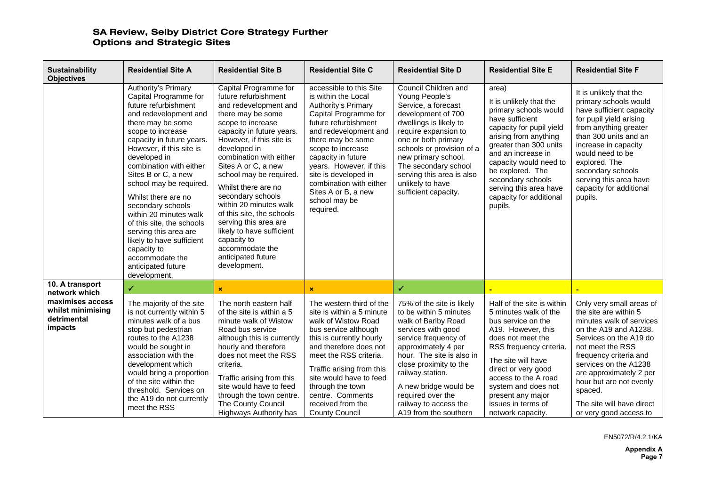| <b>Sustainability</b><br><b>Objectives</b>                      | <b>Residential Site A</b>                                                                                                                                                                                                                                                                                                                                                                                                                                                                                                      | <b>Residential Site B</b>                                                                                                                                                                                                                                                                                                                                                                                                                                                                               | <b>Residential Site C</b>                                                                                                                                                                                                                                                                                                                          | <b>Residential Site D</b>                                                                                                                                                                                                                                                                                                  | <b>Residential Site E</b>                                                                                                                                                                                                                                                                                            | <b>Residential Site F</b>                                                                                                                                                                                                                                                                                                       |
|-----------------------------------------------------------------|--------------------------------------------------------------------------------------------------------------------------------------------------------------------------------------------------------------------------------------------------------------------------------------------------------------------------------------------------------------------------------------------------------------------------------------------------------------------------------------------------------------------------------|---------------------------------------------------------------------------------------------------------------------------------------------------------------------------------------------------------------------------------------------------------------------------------------------------------------------------------------------------------------------------------------------------------------------------------------------------------------------------------------------------------|----------------------------------------------------------------------------------------------------------------------------------------------------------------------------------------------------------------------------------------------------------------------------------------------------------------------------------------------------|----------------------------------------------------------------------------------------------------------------------------------------------------------------------------------------------------------------------------------------------------------------------------------------------------------------------------|----------------------------------------------------------------------------------------------------------------------------------------------------------------------------------------------------------------------------------------------------------------------------------------------------------------------|---------------------------------------------------------------------------------------------------------------------------------------------------------------------------------------------------------------------------------------------------------------------------------------------------------------------------------|
|                                                                 | Authority's Primary<br>Capital Programme for<br>future refurbishment<br>and redevelopment and<br>there may be some<br>scope to increase<br>capacity in future years.<br>However, if this site is<br>developed in<br>combination with either<br>Sites B or C, a new<br>school may be required.<br>Whilst there are no<br>secondary schools<br>within 20 minutes walk<br>of this site, the schools<br>serving this area are<br>likely to have sufficient<br>capacity to<br>accommodate the<br>anticipated future<br>development. | Capital Programme for<br>future refurbishment<br>and redevelopment and<br>there may be some<br>scope to increase<br>capacity in future years.<br>However, if this site is<br>developed in<br>combination with either<br>Sites A or C, a new<br>school may be required.<br>Whilst there are no<br>secondary schools<br>within 20 minutes walk<br>of this site, the schools<br>serving this area are<br>likely to have sufficient<br>capacity to<br>accommodate the<br>anticipated future<br>development. | accessible to this Site<br>is within the Local<br>Authority's Primary<br>Capital Programme for<br>future refurbishment<br>and redevelopment and<br>there may be some<br>scope to increase<br>capacity in future<br>years. However, if this<br>site is developed in<br>combination with either<br>Sites A or B, a new<br>school may be<br>required. | Council Children and<br>Young People's<br>Service, a forecast<br>development of 700<br>dwellings is likely to<br>require expansion to<br>one or both primary<br>schools or provision of a<br>new primary school.<br>The secondary school<br>serving this area is also<br>unlikely to have<br>sufficient capacity.          | area)<br>It is unlikely that the<br>primary schools would<br>have sufficient<br>capacity for pupil yield<br>arising from anything<br>greater than 300 units<br>and an increase in<br>capacity would need to<br>be explored. The<br>secondary schools<br>serving this area have<br>capacity for additional<br>pupils. | It is unlikely that the<br>primary schools would<br>have sufficient capacity<br>for pupil yield arising<br>from anything greater<br>than 300 units and an<br>increase in capacity<br>would need to be<br>explored. The<br>secondary schools<br>serving this area have<br>capacity for additional<br>pupils.                     |
| 10. A transport<br>network which                                | ✓                                                                                                                                                                                                                                                                                                                                                                                                                                                                                                                              | $\mathbf x$                                                                                                                                                                                                                                                                                                                                                                                                                                                                                             | ×                                                                                                                                                                                                                                                                                                                                                  | ✔                                                                                                                                                                                                                                                                                                                          |                                                                                                                                                                                                                                                                                                                      |                                                                                                                                                                                                                                                                                                                                 |
| maximises access<br>whilst minimising<br>detrimental<br>impacts | The majority of the site<br>is not currently within 5<br>minutes walk of a bus<br>stop but pedestrian<br>routes to the A1238<br>would be sought in<br>association with the<br>development which<br>would bring a proportion<br>of the site within the<br>threshold. Services on<br>the A19 do not currently<br>meet the RSS                                                                                                                                                                                                    | The north eastern half<br>of the site is within a 5<br>minute walk of Wistow<br>Road bus service<br>although this is currently<br>hourly and therefore<br>does not meet the RSS<br>criteria.<br>Traffic arising from this<br>site would have to feed<br>through the town centre.<br>The County Council<br>Highways Authority has                                                                                                                                                                        | The western third of the<br>site is within a 5 minute<br>walk of Wistow Road<br>bus service although<br>this is currently hourly<br>and therefore does not<br>meet the RSS criteria.<br>Traffic arising from this<br>site would have to feed<br>through the town<br>centre. Comments<br>received from the<br><b>County Council</b>                 | 75% of the site is likely<br>to be within 5 minutes<br>walk of Barlby Road<br>services with good<br>service frequency of<br>approximately 4 per<br>hour. The site is also in<br>close proximity to the<br>railway station.<br>A new bridge would be<br>required over the<br>railway to access the<br>A19 from the southern | Half of the site is within<br>5 minutes walk of the<br>bus service on the<br>A19. However, this<br>does not meet the<br>RSS frequency criteria.<br>The site will have<br>direct or very good<br>access to the A road<br>system and does not<br>present any major<br>issues in terms of<br>network capacity.          | Only very small areas of<br>the site are within 5<br>minutes walk of services<br>on the A19 and A1238.<br>Services on the A19 do<br>not meet the RSS<br>frequency criteria and<br>services on the A1238<br>are approximately 2 per<br>hour but are not evenly<br>spaced.<br>The site will have direct<br>or very good access to |

EN5072/R/4.2.1/KA

**Appendix A Page 7**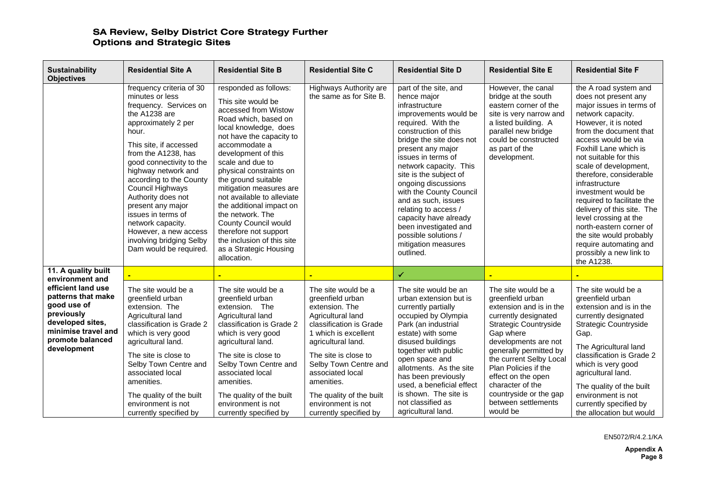| <b>Sustainability</b><br><b>Objectives</b>                                                                                                          | <b>Residential Site A</b>                                                                                                                                                                                                                                                                                                                                                                                                                      | <b>Residential Site B</b>                                                                                                                                                                                                                                                                                                                                                                                                                                                                              | <b>Residential Site C</b>                                                                                                                                                                                                                                                                                              | <b>Residential Site D</b>                                                                                                                                                                                                                                                                                                                                                                                                                                               | <b>Residential Site E</b>                                                                                                                                                                                                                                                                                                                    | <b>Residential Site F</b>                                                                                                                                                                                                                                                                                                                                                                                                                                                                                                            |
|-----------------------------------------------------------------------------------------------------------------------------------------------------|------------------------------------------------------------------------------------------------------------------------------------------------------------------------------------------------------------------------------------------------------------------------------------------------------------------------------------------------------------------------------------------------------------------------------------------------|--------------------------------------------------------------------------------------------------------------------------------------------------------------------------------------------------------------------------------------------------------------------------------------------------------------------------------------------------------------------------------------------------------------------------------------------------------------------------------------------------------|------------------------------------------------------------------------------------------------------------------------------------------------------------------------------------------------------------------------------------------------------------------------------------------------------------------------|-------------------------------------------------------------------------------------------------------------------------------------------------------------------------------------------------------------------------------------------------------------------------------------------------------------------------------------------------------------------------------------------------------------------------------------------------------------------------|----------------------------------------------------------------------------------------------------------------------------------------------------------------------------------------------------------------------------------------------------------------------------------------------------------------------------------------------|--------------------------------------------------------------------------------------------------------------------------------------------------------------------------------------------------------------------------------------------------------------------------------------------------------------------------------------------------------------------------------------------------------------------------------------------------------------------------------------------------------------------------------------|
|                                                                                                                                                     | frequency criteria of 30<br>minutes or less<br>frequency. Services on<br>the A1238 are<br>approximately 2 per<br>hour.<br>This site, if accessed<br>from the A1238, has<br>good connectivity to the<br>highway network and<br>according to the County<br>Council Highways<br>Authority does not<br>present any major<br>issues in terms of<br>network capacity.<br>However, a new access<br>involving bridging Selby<br>Dam would be required. | responded as follows:<br>This site would be<br>accessed from Wistow<br>Road which, based on<br>local knowledge, does<br>not have the capacity to<br>accommodate a<br>development of this<br>scale and due to<br>physical constraints on<br>the ground suitable<br>mitigation measures are<br>not available to alleviate<br>the additional impact on<br>the network. The<br><b>County Council would</b><br>therefore not support<br>the inclusion of this site<br>as a Strategic Housing<br>allocation. | Highways Authority are<br>the same as for Site B.                                                                                                                                                                                                                                                                      | part of the site, and<br>hence major<br>infrastructure<br>improvements would be<br>required. With the<br>construction of this<br>bridge the site does not<br>present any major<br>issues in terms of<br>network capacity. This<br>site is the subject of<br>ongoing discussions<br>with the County Council<br>and as such, issues<br>relating to access /<br>capacity have already<br>been investigated and<br>possible solutions /<br>mitigation measures<br>outlined. | However, the canal<br>bridge at the south<br>eastern corner of the<br>site is very narrow and<br>a listed building. A<br>parallel new bridge<br>could be constructed<br>as part of the<br>development.                                                                                                                                       | the A road system and<br>does not present any<br>major issues in terms of<br>network capacity.<br>However, it is noted<br>from the document that<br>access would be via<br>Foxhill Lane which is<br>not suitable for this<br>scale of development,<br>therefore, considerable<br>infrastructure<br>investment would be<br>required to facilitate the<br>delivery of this site. The<br>level crossing at the<br>north-eastern corner of<br>the site would probably<br>require automating and<br>prossibly a new link to<br>the A1238. |
| 11. A quality built<br>environment and                                                                                                              |                                                                                                                                                                                                                                                                                                                                                                                                                                                |                                                                                                                                                                                                                                                                                                                                                                                                                                                                                                        |                                                                                                                                                                                                                                                                                                                        | ✔                                                                                                                                                                                                                                                                                                                                                                                                                                                                       |                                                                                                                                                                                                                                                                                                                                              |                                                                                                                                                                                                                                                                                                                                                                                                                                                                                                                                      |
| efficient land use<br>patterns that make<br>good use of<br>previously<br>developed sites,<br>minimise travel and<br>promote balanced<br>development | The site would be a<br>greenfield urban<br>extension. The<br>Agricultural land<br>classification is Grade 2<br>which is very good<br>agricultural land.<br>The site is close to<br>Selby Town Centre and<br>associated local<br>amenities.<br>The quality of the built<br>environment is not<br>currently specified by                                                                                                                         | The site would be a<br>greenfield urban<br>extension. The<br>Agricultural land<br>classification is Grade 2<br>which is very good<br>agricultural land.<br>The site is close to<br>Selby Town Centre and<br>associated local<br>amenities.<br>The quality of the built<br>environment is not<br>currently specified by                                                                                                                                                                                 | The site would be a<br>greenfield urban<br>extension. The<br>Agricultural land<br>classification is Grade<br>1 which is excellent<br>agricultural land.<br>The site is close to<br>Selby Town Centre and<br>associated local<br>amenities.<br>The quality of the built<br>environment is not<br>currently specified by | The site would be an<br>urban extension but is<br>currently partially<br>occupied by Olympia<br>Park (an industrial<br>estate) with some<br>disused buildings<br>together with public<br>open space and<br>allotments. As the site<br>has been previously<br>used, a beneficial effect<br>is shown. The site is<br>not classified as<br>agricultural land.                                                                                                              | The site would be a<br>greenfield urban<br>extension and is in the<br>currently designated<br>Strategic Countryside<br>Gap where<br>developments are not<br>generally permitted by<br>the current Selby Local<br>Plan Policies if the<br>effect on the open<br>character of the<br>countryside or the gap<br>between settlements<br>would be | The site would be a<br>greenfield urban<br>extension and is in the<br>currently designated<br>Strategic Countryside<br>Gap.<br>The Agricultural land<br>classification is Grade 2<br>which is very good<br>agricultural land.<br>The quality of the built<br>environment is not<br>currently specified by<br>the allocation but would                                                                                                                                                                                                |

EN5072/R/4.2.1/KA

**Appendix A Page 8**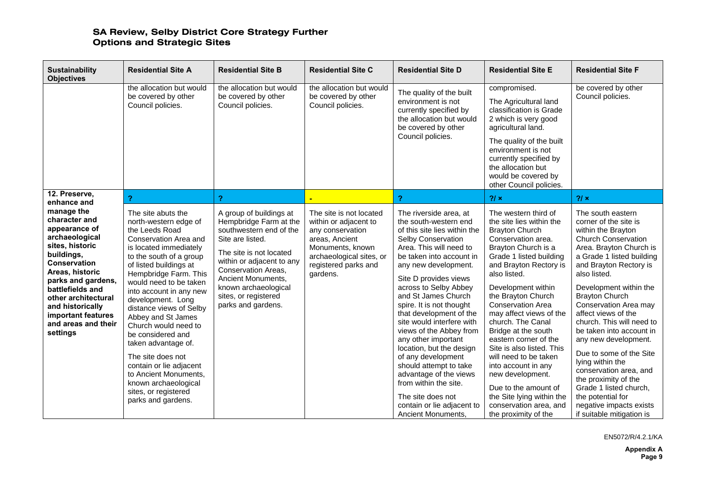| <b>Sustainability</b><br><b>Objectives</b>                                                                                                                                                                                                                                              | <b>Residential Site A</b>                                                                                                                                                                                                                                                                                                                                                                                                                                                                                                                    | <b>Residential Site B</b>                                                                                                                                                                                                                                                   | <b>Residential Site C</b>                                                                                                                                                  | <b>Residential Site D</b>                                                                                                                                                                                                                                                                                                                                                                                                                                                                                                                                                                                   | <b>Residential Site E</b>                                                                                                                                                                                                                                                                                                                                                                                                                                                                                                                                                   | <b>Residential Site F</b>                                                                                                                                                                                                                                                                                                                                                                                                                                                                                                                                                                    |
|-----------------------------------------------------------------------------------------------------------------------------------------------------------------------------------------------------------------------------------------------------------------------------------------|----------------------------------------------------------------------------------------------------------------------------------------------------------------------------------------------------------------------------------------------------------------------------------------------------------------------------------------------------------------------------------------------------------------------------------------------------------------------------------------------------------------------------------------------|-----------------------------------------------------------------------------------------------------------------------------------------------------------------------------------------------------------------------------------------------------------------------------|----------------------------------------------------------------------------------------------------------------------------------------------------------------------------|-------------------------------------------------------------------------------------------------------------------------------------------------------------------------------------------------------------------------------------------------------------------------------------------------------------------------------------------------------------------------------------------------------------------------------------------------------------------------------------------------------------------------------------------------------------------------------------------------------------|-----------------------------------------------------------------------------------------------------------------------------------------------------------------------------------------------------------------------------------------------------------------------------------------------------------------------------------------------------------------------------------------------------------------------------------------------------------------------------------------------------------------------------------------------------------------------------|----------------------------------------------------------------------------------------------------------------------------------------------------------------------------------------------------------------------------------------------------------------------------------------------------------------------------------------------------------------------------------------------------------------------------------------------------------------------------------------------------------------------------------------------------------------------------------------------|
|                                                                                                                                                                                                                                                                                         | the allocation but would<br>be covered by other<br>Council policies.                                                                                                                                                                                                                                                                                                                                                                                                                                                                         | the allocation but would<br>be covered by other<br>Council policies.                                                                                                                                                                                                        | the allocation but would<br>be covered by other<br>Council policies.                                                                                                       | The quality of the built<br>environment is not<br>currently specified by<br>the allocation but would<br>be covered by other<br>Council policies.                                                                                                                                                                                                                                                                                                                                                                                                                                                            | compromised.<br>The Agricultural land<br>classification is Grade<br>2 which is very good<br>agricultural land.<br>The quality of the built<br>environment is not<br>currently specified by<br>the allocation but<br>would be covered by<br>other Council policies.                                                                                                                                                                                                                                                                                                          | be covered by other<br>Council policies.                                                                                                                                                                                                                                                                                                                                                                                                                                                                                                                                                     |
| 12. Preserve.<br>enhance and                                                                                                                                                                                                                                                            | 2                                                                                                                                                                                                                                                                                                                                                                                                                                                                                                                                            | 2                                                                                                                                                                                                                                                                           |                                                                                                                                                                            | 2                                                                                                                                                                                                                                                                                                                                                                                                                                                                                                                                                                                                           | 2/x                                                                                                                                                                                                                                                                                                                                                                                                                                                                                                                                                                         | 2/x                                                                                                                                                                                                                                                                                                                                                                                                                                                                                                                                                                                          |
| manage the<br>character and<br>appearance of<br>archaeological<br>sites, historic<br>buildings,<br><b>Conservation</b><br>Areas, historic<br>parks and gardens,<br>battlefields and<br>other architectural<br>and historically<br>important features<br>and areas and their<br>settings | The site abuts the<br>north-western edge of<br>the Leeds Road<br>Conservation Area and<br>is located immediately<br>to the south of a group<br>of listed buildings at<br>Hempbridge Farm. This<br>would need to be taken<br>into account in any new<br>development. Long<br>distance views of Selby<br>Abbey and St James<br>Church would need to<br>be considered and<br>taken advantage of.<br>The site does not<br>contain or lie adjacent<br>to Ancient Monuments,<br>known archaeological<br>sites, or registered<br>parks and gardens. | A group of buildings at<br>Hempbridge Farm at the<br>southwestern end of the<br>Site are listed.<br>The site is not located<br>within or adjacent to any<br>Conservation Areas.<br>Ancient Monuments,<br>known archaeological<br>sites, or registered<br>parks and gardens. | The site is not located<br>within or adjacent to<br>any conservation<br>areas, Ancient<br>Monuments, known<br>archaeological sites, or<br>registered parks and<br>gardens. | The riverside area, at<br>the south-western end<br>of this site lies within the<br>Selby Conservation<br>Area. This will need to<br>be taken into account in<br>any new development.<br>Site D provides views<br>across to Selby Abbey<br>and St James Church<br>spire. It is not thought<br>that development of the<br>site would interfere with<br>views of the Abbey from<br>any other important<br>location, but the design<br>of any development<br>should attempt to take<br>advantage of the views<br>from within the site.<br>The site does not<br>contain or lie adjacent to<br>Ancient Monuments, | The western third of<br>the site lies within the<br><b>Brayton Church</b><br>Conservation area.<br>Brayton Church is a<br>Grade 1 listed building<br>and Brayton Rectory is<br>also listed.<br>Development within<br>the Brayton Church<br><b>Conservation Area</b><br>may affect views of the<br>church. The Canal<br>Bridge at the south<br>eastern corner of the<br>Site is also listed. This<br>will need to be taken<br>into account in any<br>new development.<br>Due to the amount of<br>the Site lying within the<br>conservation area, and<br>the proximity of the | The south eastern<br>corner of the site is<br>within the Brayton<br><b>Church Conservation</b><br>Area. Brayton Church is<br>a Grade 1 listed building<br>and Brayton Rectory is<br>also listed.<br>Development within the<br><b>Brayton Church</b><br>Conservation Area may<br>affect views of the<br>church. This will need to<br>be taken into account in<br>any new development.<br>Due to some of the Site<br>lying within the<br>conservation area, and<br>the proximity of the<br>Grade 1 listed church,<br>the potential for<br>negative impacts exists<br>if suitable mitigation is |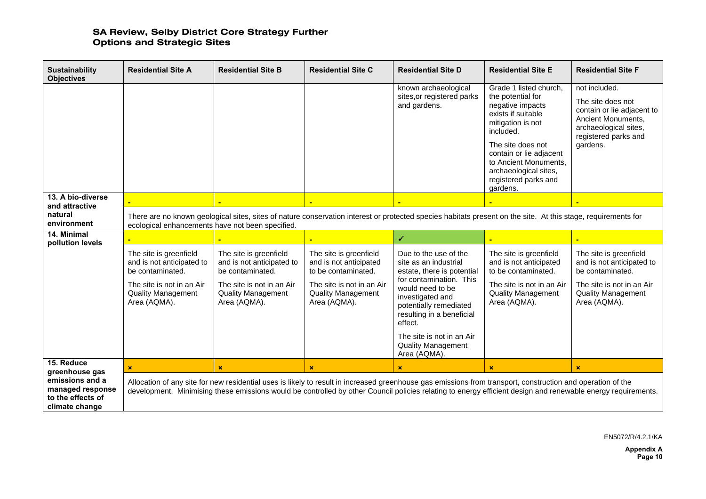| <b>Sustainability</b><br><b>Objectives</b>                                 | <b>Residential Site A</b>                                                                                                                                                                                         | <b>Residential Site B</b>                                                                                                                         | <b>Residential Site C</b>                                                                                                                         | <b>Residential Site D</b>                                                                                                                                                                                                                                                                                                   | <b>Residential Site E</b>                                                                                                                                                                                                                                     | <b>Residential Site F</b>                                                                                                                           |
|----------------------------------------------------------------------------|-------------------------------------------------------------------------------------------------------------------------------------------------------------------------------------------------------------------|---------------------------------------------------------------------------------------------------------------------------------------------------|---------------------------------------------------------------------------------------------------------------------------------------------------|-----------------------------------------------------------------------------------------------------------------------------------------------------------------------------------------------------------------------------------------------------------------------------------------------------------------------------|---------------------------------------------------------------------------------------------------------------------------------------------------------------------------------------------------------------------------------------------------------------|-----------------------------------------------------------------------------------------------------------------------------------------------------|
|                                                                            |                                                                                                                                                                                                                   |                                                                                                                                                   |                                                                                                                                                   | known archaeological<br>sites, or registered parks<br>and gardens.                                                                                                                                                                                                                                                          | Grade 1 listed church,<br>the potential for<br>negative impacts<br>exists if suitable<br>mitigation is not<br>included.<br>The site does not<br>contain or lie adjacent<br>to Ancient Monuments.<br>archaeological sites,<br>registered parks and<br>gardens. | not included.<br>The site does not<br>contain or lie adjacent to<br>Ancient Monuments.<br>archaeological sites,<br>registered parks and<br>gardens. |
| 13. A bio-diverse<br>and attractive                                        |                                                                                                                                                                                                                   |                                                                                                                                                   |                                                                                                                                                   |                                                                                                                                                                                                                                                                                                                             |                                                                                                                                                                                                                                                               |                                                                                                                                                     |
| natural<br>environment                                                     | There are no known geological sites, sites of nature conservation interest or protected species habitats present on the site. At this stage, requirements for<br>ecological enhancements have not been specified. |                                                                                                                                                   |                                                                                                                                                   |                                                                                                                                                                                                                                                                                                                             |                                                                                                                                                                                                                                                               |                                                                                                                                                     |
| 14. Minimal<br>pollution levels                                            |                                                                                                                                                                                                                   |                                                                                                                                                   |                                                                                                                                                   | ✔                                                                                                                                                                                                                                                                                                                           |                                                                                                                                                                                                                                                               |                                                                                                                                                     |
|                                                                            | The site is greenfield<br>and is not anticipated to<br>be contaminated.<br>The site is not in an Air<br><b>Quality Management</b><br>Area (AQMA).                                                                 | The site is greenfield<br>and is not anticipated to<br>be contaminated.<br>The site is not in an Air<br><b>Quality Management</b><br>Area (AQMA). | The site is greenfield<br>and is not anticipated<br>to be contaminated.<br>The site is not in an Air<br><b>Quality Management</b><br>Area (AQMA). | Due to the use of the<br>site as an industrial<br>estate, there is potential<br>for contamination. This<br>would need to be<br>investigated and<br>potentially remediated<br>resulting in a beneficial<br>effect.<br>The site is not in an Air<br><b>Quality Management</b><br>Area (AQMA).                                 | The site is greenfield<br>and is not anticipated<br>to be contaminated.<br>The site is not in an Air<br><b>Quality Management</b><br>Area (AQMA).                                                                                                             | The site is greenfield<br>and is not anticipated to<br>be contaminated.<br>The site is not in an Air<br><b>Quality Management</b><br>Area (AQMA).   |
| 15. Reduce<br>greenhouse gas                                               | $\mathbf{x}$                                                                                                                                                                                                      | $\mathbf x$                                                                                                                                       | $\mathbf x$                                                                                                                                       | $\mathbf x$                                                                                                                                                                                                                                                                                                                 | $\mathbf x$                                                                                                                                                                                                                                                   | ×                                                                                                                                                   |
| emissions and a<br>managed response<br>to the effects of<br>climate change |                                                                                                                                                                                                                   |                                                                                                                                                   |                                                                                                                                                   | Allocation of any site for new residential uses is likely to result in increased greenhouse gas emissions from transport, construction and operation of the<br>development. Minimising these emissions would be controlled by other Council policies relating to energy efficient design and renewable energy requirements. |                                                                                                                                                                                                                                                               |                                                                                                                                                     |

EN5072/R/4.2.1/KA

**Appendix A Page 10**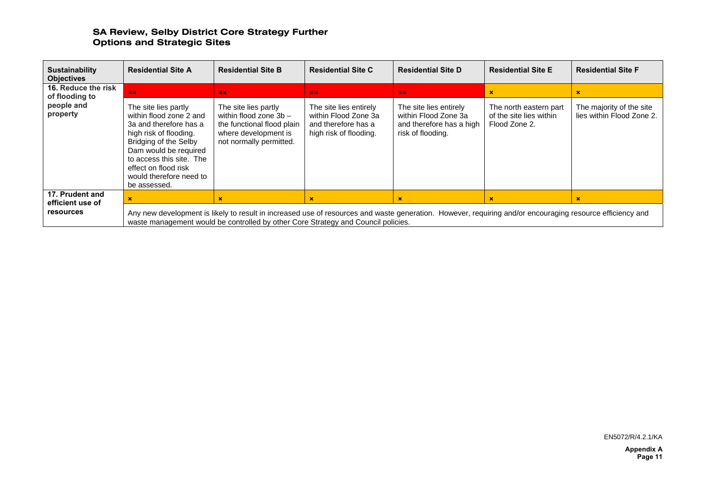| <b>Sustainability</b><br><b>Objectives</b>                                                                                                                                                                                                                                                                                                                     | <b>Residential Site A</b>                                                                                                                                                                                                                                            | <b>Residential Site B</b>                                                                                                               | <b>Residential Site C</b>                                                                                       | <b>Residential Site D</b>                                                                                                  | <b>Residential Site E</b>                                                         | <b>Residential Site F</b>                                  |
|----------------------------------------------------------------------------------------------------------------------------------------------------------------------------------------------------------------------------------------------------------------------------------------------------------------------------------------------------------------|----------------------------------------------------------------------------------------------------------------------------------------------------------------------------------------------------------------------------------------------------------------------|-----------------------------------------------------------------------------------------------------------------------------------------|-----------------------------------------------------------------------------------------------------------------|----------------------------------------------------------------------------------------------------------------------------|-----------------------------------------------------------------------------------|------------------------------------------------------------|
| 16. Reduce the risk<br>of flooding to<br>people and<br>property                                                                                                                                                                                                                                                                                                | $\mathbf{X}$<br>The site lies partly<br>within flood zone 2 and<br>3a and therefore has a<br>high risk of flooding.<br>Bridging of the Selby<br>Dam would be required<br>to access this site. The<br>effect on flood risk<br>would therefore need to<br>be assessed. | XX<br>The site lies partly<br>within flood zone $3b -$<br>the functional flood plain<br>where development is<br>not normally permitted. | $\mathbf{X}$<br>The site lies entirely<br>within Flood Zone 3a<br>and therefore has a<br>high risk of flooding. | $\mathbf{X} \mathbf{X}$<br>The site lies entirely<br>within Flood Zone 3a<br>and therefore has a high<br>risk of flooding. | $\mathbf x$<br>The north eastern part<br>of the site lies within<br>Flood Zone 2. | ×<br>The majority of the site<br>lies within Flood Zone 2. |
| 17. Prudent and<br>$\mathbf x$<br>$\pmb{\times}$<br>$\mathbf x$<br>×<br>efficient use of<br><b>resources</b><br>Any new development is likely to result in increased use of resources and waste generation. However, requiring and/or encouraging resource efficiency and<br>waste management would be controlled by other Core Strategy and Council policies. |                                                                                                                                                                                                                                                                      |                                                                                                                                         |                                                                                                                 |                                                                                                                            |                                                                                   |                                                            |

EN5072/R/4.2.1/KA

**Appendix A Page 11**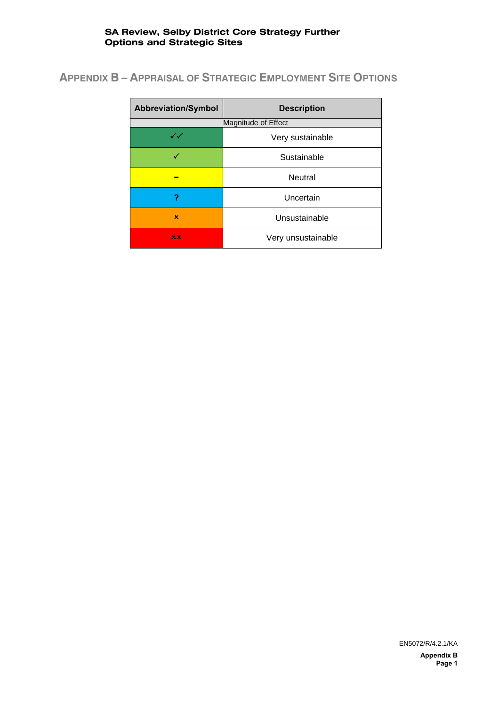# **APPENDIX B – APPRAISAL OF STRATEGIC EMPLOYMENT SITE OPTIONS**

| <b>Abbreviation/Symbol</b> | <b>Description</b>  |
|----------------------------|---------------------|
|                            | Magnitude of Effect |
| $\checkmark\checkmark$     | Very sustainable    |
|                            | Sustainable         |
|                            | <b>Neutral</b>      |
|                            | Uncertain           |
| $\mathbf x$                | Unsustainable       |
| x x                        | Very unsustainable  |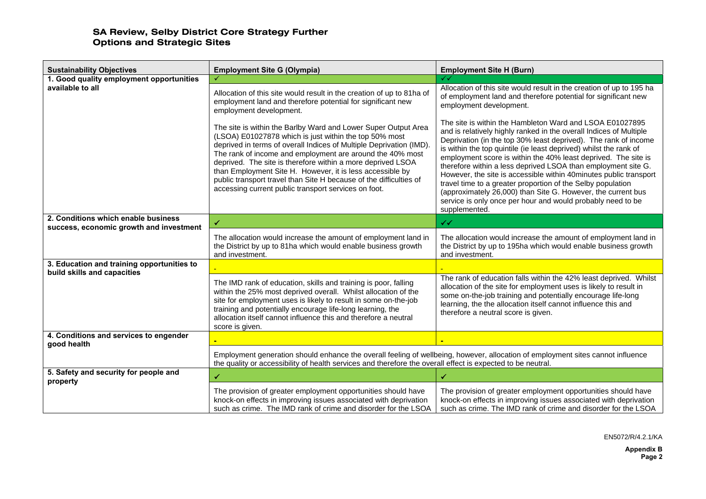| <b>Sustainability Objectives</b>                  | <b>Employment Site G (Olympia)</b>                                                                                                                                                                                                                                                                                                                                                                                                                                                                                     | <b>Employment Site H (Burn)</b>                                                                                                                                                                                                                                                                                                                                                                                                                                                                                                                                                                                                                                                               |
|---------------------------------------------------|------------------------------------------------------------------------------------------------------------------------------------------------------------------------------------------------------------------------------------------------------------------------------------------------------------------------------------------------------------------------------------------------------------------------------------------------------------------------------------------------------------------------|-----------------------------------------------------------------------------------------------------------------------------------------------------------------------------------------------------------------------------------------------------------------------------------------------------------------------------------------------------------------------------------------------------------------------------------------------------------------------------------------------------------------------------------------------------------------------------------------------------------------------------------------------------------------------------------------------|
| 1. Good quality employment opportunities          |                                                                                                                                                                                                                                                                                                                                                                                                                                                                                                                        |                                                                                                                                                                                                                                                                                                                                                                                                                                                                                                                                                                                                                                                                                               |
| available to all                                  | Allocation of this site would result in the creation of up to 81ha of<br>employment land and therefore potential for significant new<br>employment development.                                                                                                                                                                                                                                                                                                                                                        | Allocation of this site would result in the creation of up to 195 ha<br>of employment land and therefore potential for significant new<br>employment development.                                                                                                                                                                                                                                                                                                                                                                                                                                                                                                                             |
|                                                   | The site is within the Barlby Ward and Lower Super Output Area<br>(LSOA) E01027878 which is just within the top 50% most<br>deprived in terms of overall Indices of Multiple Deprivation (IMD).<br>The rank of income and employment are around the 40% most<br>deprived. The site is therefore within a more deprived LSOA<br>than Employment Site H. However, it is less accessible by<br>public transport travel than Site H because of the difficulties of<br>accessing current public transport services on foot. | The site is within the Hambleton Ward and LSOA E01027895<br>and is relatively highly ranked in the overall Indices of Multiple<br>Deprivation (in the top 30% least deprived). The rank of income<br>is within the top quintile (ie least deprived) whilst the rank of<br>employment score is within the 40% least deprived. The site is<br>therefore within a less deprived LSOA than employment site G.<br>However, the site is accessible within 40minutes public transport<br>travel time to a greater proportion of the Selby population<br>(approximately 26,000) than Site G. However, the current bus<br>service is only once per hour and would probably need to be<br>supplemented. |
| 2. Conditions which enable business               | ✔                                                                                                                                                                                                                                                                                                                                                                                                                                                                                                                      | $\checkmark$                                                                                                                                                                                                                                                                                                                                                                                                                                                                                                                                                                                                                                                                                  |
| success, economic growth and investment           |                                                                                                                                                                                                                                                                                                                                                                                                                                                                                                                        |                                                                                                                                                                                                                                                                                                                                                                                                                                                                                                                                                                                                                                                                                               |
|                                                   | The allocation would increase the amount of employment land in<br>the District by up to 81ha which would enable business growth<br>and investment.                                                                                                                                                                                                                                                                                                                                                                     | The allocation would increase the amount of employment land in<br>the District by up to 195ha which would enable business growth<br>and investment.                                                                                                                                                                                                                                                                                                                                                                                                                                                                                                                                           |
| 3. Education and training opportunities to        |                                                                                                                                                                                                                                                                                                                                                                                                                                                                                                                        |                                                                                                                                                                                                                                                                                                                                                                                                                                                                                                                                                                                                                                                                                               |
| build skills and capacities                       | The IMD rank of education, skills and training is poor, falling<br>within the 25% most deprived overall. Whilst allocation of the<br>site for employment uses is likely to result in some on-the-job<br>training and potentially encourage life-long learning, the<br>allocation itself cannot influence this and therefore a neutral<br>score is given.                                                                                                                                                               | The rank of education falls within the 42% least deprived. Whilst<br>allocation of the site for employment uses is likely to result in<br>some on-the-job training and potentially encourage life-long<br>learning, the the allocation itself cannot influence this and<br>therefore a neutral score is given.                                                                                                                                                                                                                                                                                                                                                                                |
| 4. Conditions and services to engender            |                                                                                                                                                                                                                                                                                                                                                                                                                                                                                                                        |                                                                                                                                                                                                                                                                                                                                                                                                                                                                                                                                                                                                                                                                                               |
| good health                                       | Employment generation should enhance the overall feeling of wellbeing, however, allocation of employment sites cannot influence<br>the quality or accessibility of health services and therefore the overall effect is expected to be neutral.                                                                                                                                                                                                                                                                         |                                                                                                                                                                                                                                                                                                                                                                                                                                                                                                                                                                                                                                                                                               |
| 5. Safety and security for people and<br>property |                                                                                                                                                                                                                                                                                                                                                                                                                                                                                                                        |                                                                                                                                                                                                                                                                                                                                                                                                                                                                                                                                                                                                                                                                                               |
|                                                   | The provision of greater employment opportunities should have<br>knock-on effects in improving issues associated with deprivation<br>such as crime. The IMD rank of crime and disorder for the LSOA                                                                                                                                                                                                                                                                                                                    | The provision of greater employment opportunities should have<br>knock-on effects in improving issues associated with deprivation<br>such as crime. The IMD rank of crime and disorder for the LSOA                                                                                                                                                                                                                                                                                                                                                                                                                                                                                           |

EN5072/R/4.2.1/KA

**Appendix B Page 2**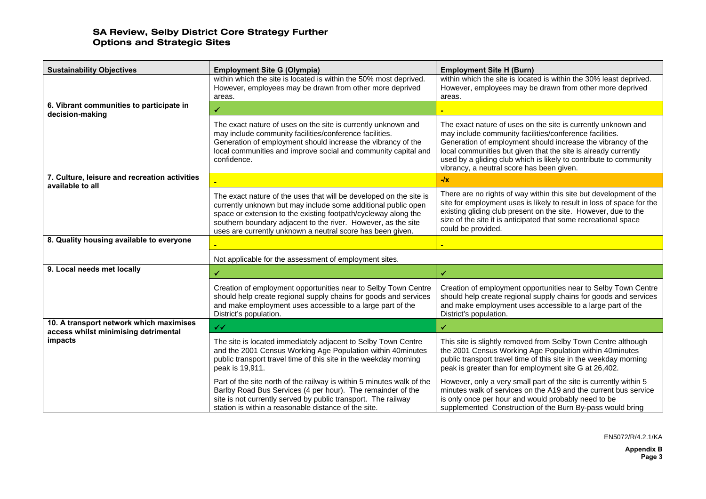| <b>Sustainability Objectives</b>                                                | <b>Employment Site G (Olympia)</b>                                                                                                                                                                                                                                                                                                   | <b>Employment Site H (Burn)</b>                                                                                                                                                                                                                                                                                                                                              |
|---------------------------------------------------------------------------------|--------------------------------------------------------------------------------------------------------------------------------------------------------------------------------------------------------------------------------------------------------------------------------------------------------------------------------------|------------------------------------------------------------------------------------------------------------------------------------------------------------------------------------------------------------------------------------------------------------------------------------------------------------------------------------------------------------------------------|
|                                                                                 | within which the site is located is within the 50% most deprived.<br>However, employees may be drawn from other more deprived<br>areas.                                                                                                                                                                                              | within which the site is located is within the 30% least deprived.<br>However, employees may be drawn from other more deprived<br>areas.                                                                                                                                                                                                                                     |
| 6. Vibrant communities to participate in<br>decision-making                     | ✓                                                                                                                                                                                                                                                                                                                                    |                                                                                                                                                                                                                                                                                                                                                                              |
|                                                                                 | The exact nature of uses on the site is currently unknown and<br>may include community facilities/conference facilities.<br>Generation of employment should increase the vibrancy of the<br>local communities and improve social and community capital and<br>confidence.                                                            | The exact nature of uses on the site is currently unknown and<br>may include community facilities/conference facilities.<br>Generation of employment should increase the vibrancy of the<br>local communities but given that the site is already currently<br>used by a gliding club which is likely to contribute to community<br>vibrancy, a neutral score has been given. |
| 7. Culture, leisure and recreation activities<br>available to all               |                                                                                                                                                                                                                                                                                                                                      | $-Ix$                                                                                                                                                                                                                                                                                                                                                                        |
|                                                                                 | The exact nature of the uses that will be developed on the site is<br>currently unknown but may include some additional public open<br>space or extension to the existing footpath/cycleway along the<br>southern boundary adjacent to the river. However, as the site<br>uses are currently unknown a neutral score has been given. | There are no rights of way within this site but development of the<br>site for employment uses is likely to result in loss of space for the<br>existing gliding club present on the site. However, due to the<br>size of the site it is anticipated that some recreational space<br>could be provided.                                                                       |
| 8. Quality housing available to everyone                                        |                                                                                                                                                                                                                                                                                                                                      |                                                                                                                                                                                                                                                                                                                                                                              |
|                                                                                 | Not applicable for the assessment of employment sites.                                                                                                                                                                                                                                                                               |                                                                                                                                                                                                                                                                                                                                                                              |
| 9. Local needs met locally                                                      | ✔                                                                                                                                                                                                                                                                                                                                    | ✔                                                                                                                                                                                                                                                                                                                                                                            |
|                                                                                 | Creation of employment opportunities near to Selby Town Centre<br>should help create regional supply chains for goods and services<br>and make employment uses accessible to a large part of the<br>District's population.                                                                                                           | Creation of employment opportunities near to Selby Town Centre<br>should help create regional supply chains for goods and services<br>and make employment uses accessible to a large part of the<br>District's population.                                                                                                                                                   |
| 10. A transport network which maximises<br>access whilst minimising detrimental | $\checkmark$                                                                                                                                                                                                                                                                                                                         | ✔                                                                                                                                                                                                                                                                                                                                                                            |
| impacts                                                                         | The site is located immediately adjacent to Selby Town Centre<br>and the 2001 Census Working Age Population within 40minutes<br>public transport travel time of this site in the weekday morning<br>peak is 19,911.                                                                                                                  | This site is slightly removed from Selby Town Centre although<br>the 2001 Census Working Age Population within 40minutes<br>public transport travel time of this site in the weekday morning<br>peak is greater than for employment site G at 26,402.                                                                                                                        |
|                                                                                 | Part of the site north of the railway is within 5 minutes walk of the<br>Barlby Road Bus Services (4 per hour). The remainder of the<br>site is not currently served by public transport. The railway<br>station is within a reasonable distance of the site.                                                                        | However, only a very small part of the site is currently within 5<br>minutes walk of services on the A19 and the current bus service<br>is only once per hour and would probably need to be<br>supplemented Construction of the Burn By-pass would bring                                                                                                                     |

EN5072/R/4.2.1/KA

**Appendix B Page 3**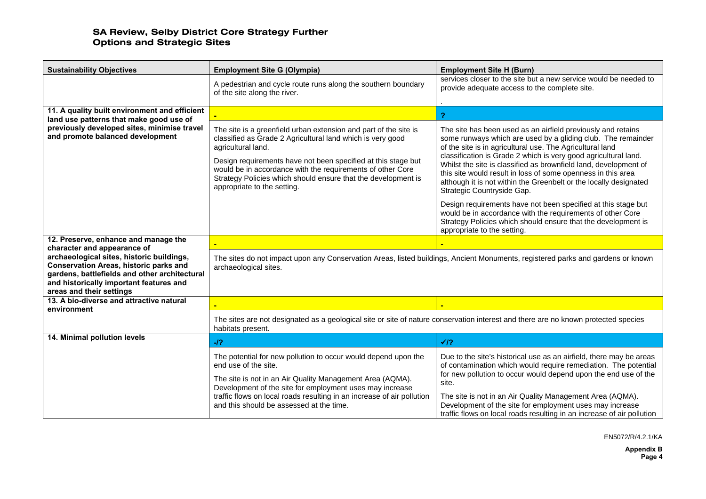| <b>Sustainability Objectives</b>                                                                                                                                                                                   | <b>Employment Site G (Olympia)</b>                                                                                                                                                                                                                                                                                                                                                  | <b>Employment Site H (Burn)</b>                                                                                                                                                                                                                                                                                                                                                                                                                                                                     |  |
|--------------------------------------------------------------------------------------------------------------------------------------------------------------------------------------------------------------------|-------------------------------------------------------------------------------------------------------------------------------------------------------------------------------------------------------------------------------------------------------------------------------------------------------------------------------------------------------------------------------------|-----------------------------------------------------------------------------------------------------------------------------------------------------------------------------------------------------------------------------------------------------------------------------------------------------------------------------------------------------------------------------------------------------------------------------------------------------------------------------------------------------|--|
|                                                                                                                                                                                                                    | A pedestrian and cycle route runs along the southern boundary<br>of the site along the river.                                                                                                                                                                                                                                                                                       | services closer to the site but a new service would be needed to<br>provide adequate access to the complete site.                                                                                                                                                                                                                                                                                                                                                                                   |  |
| 11. A quality built environment and efficient                                                                                                                                                                      |                                                                                                                                                                                                                                                                                                                                                                                     | $\overline{\mathbf{r}}$                                                                                                                                                                                                                                                                                                                                                                                                                                                                             |  |
| land use patterns that make good use of<br>previously developed sites, minimise travel<br>and promote balanced development                                                                                         | The site is a greenfield urban extension and part of the site is<br>classified as Grade 2 Agricultural land which is very good<br>agricultural land.<br>Design requirements have not been specified at this stage but<br>would be in accordance with the requirements of other Core<br>Strategy Policies which should ensure that the development is<br>appropriate to the setting. | The site has been used as an airfield previously and retains<br>some runways which are used by a gliding club. The remainder<br>of the site is in agricultural use. The Agricultural land<br>classification is Grade 2 which is very good agricultural land.<br>Whilst the site is classified as brownfield land, development of<br>this site would result in loss of some openness in this area<br>although it is not within the Greenbelt or the locally designated<br>Strategic Countryside Gap. |  |
|                                                                                                                                                                                                                    |                                                                                                                                                                                                                                                                                                                                                                                     | Design requirements have not been specified at this stage but<br>would be in accordance with the requirements of other Core<br>Strategy Policies which should ensure that the development is<br>appropriate to the setting.                                                                                                                                                                                                                                                                         |  |
| 12. Preserve, enhance and manage the<br>character and appearance of                                                                                                                                                |                                                                                                                                                                                                                                                                                                                                                                                     |                                                                                                                                                                                                                                                                                                                                                                                                                                                                                                     |  |
| archaeological sites, historic buildings,<br><b>Conservation Areas, historic parks and</b><br>gardens, battlefields and other architectural<br>and historically important features and<br>areas and their settings | The sites do not impact upon any Conservation Areas, listed buildings, Ancient Monuments, registered parks and gardens or known<br>archaeological sites.                                                                                                                                                                                                                            |                                                                                                                                                                                                                                                                                                                                                                                                                                                                                                     |  |
| 13. A bio-diverse and attractive natural<br>environment                                                                                                                                                            |                                                                                                                                                                                                                                                                                                                                                                                     |                                                                                                                                                                                                                                                                                                                                                                                                                                                                                                     |  |
|                                                                                                                                                                                                                    | The sites are not designated as a geological site or site of nature conservation interest and there are no known protected species<br>habitats present.                                                                                                                                                                                                                             |                                                                                                                                                                                                                                                                                                                                                                                                                                                                                                     |  |
| 14. Minimal pollution levels                                                                                                                                                                                       | $-12$                                                                                                                                                                                                                                                                                                                                                                               | $\sqrt{2}$                                                                                                                                                                                                                                                                                                                                                                                                                                                                                          |  |
|                                                                                                                                                                                                                    | The potential for new pollution to occur would depend upon the<br>end use of the site.<br>The site is not in an Air Quality Management Area (AQMA).                                                                                                                                                                                                                                 | Due to the site's historical use as an airfield, there may be areas<br>of contamination which would require remediation. The potential<br>for new pollution to occur would depend upon the end use of the<br>site.                                                                                                                                                                                                                                                                                  |  |
|                                                                                                                                                                                                                    | Development of the site for employment uses may increase<br>traffic flows on local roads resulting in an increase of air pollution<br>and this should be assessed at the time.                                                                                                                                                                                                      | The site is not in an Air Quality Management Area (AQMA).<br>Development of the site for employment uses may increase<br>traffic flows on local roads resulting in an increase of air pollution                                                                                                                                                                                                                                                                                                     |  |

EN5072/R/4.2.1/KA

**Appendix B Page 4**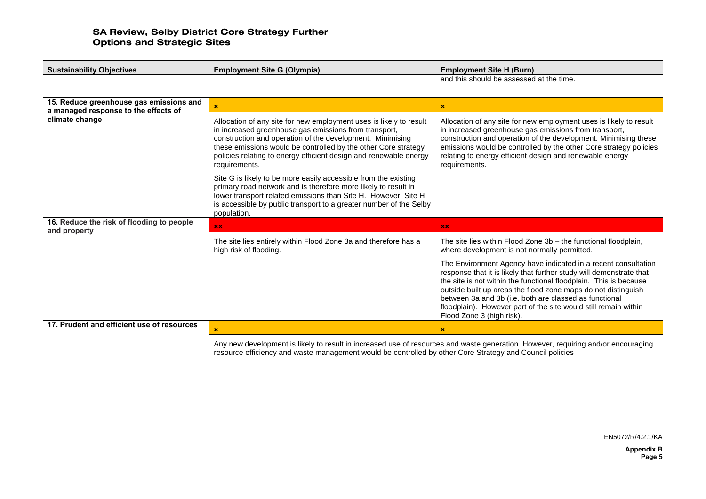| <b>Sustainability Objectives</b>                          | <b>Employment Site G (Olympia)</b>                                                                                                                                                                                                                                                                                                               | <b>Employment Site H (Burn)</b>                                                                                                                                                                                                                                                                                                                                                                                                       |  |
|-----------------------------------------------------------|--------------------------------------------------------------------------------------------------------------------------------------------------------------------------------------------------------------------------------------------------------------------------------------------------------------------------------------------------|---------------------------------------------------------------------------------------------------------------------------------------------------------------------------------------------------------------------------------------------------------------------------------------------------------------------------------------------------------------------------------------------------------------------------------------|--|
|                                                           |                                                                                                                                                                                                                                                                                                                                                  | and this should be assessed at the time.                                                                                                                                                                                                                                                                                                                                                                                              |  |
| 15. Reduce greenhouse gas emissions and                   |                                                                                                                                                                                                                                                                                                                                                  |                                                                                                                                                                                                                                                                                                                                                                                                                                       |  |
| a managed response to the effects of                      |                                                                                                                                                                                                                                                                                                                                                  | $\boldsymbol{\mathsf{x}}$                                                                                                                                                                                                                                                                                                                                                                                                             |  |
| climate change                                            | Allocation of any site for new employment uses is likely to result<br>in increased greenhouse gas emissions from transport,<br>construction and operation of the development. Minimising<br>these emissions would be controlled by the other Core strategy<br>policies relating to energy efficient design and renewable energy<br>requirements. | Allocation of any site for new employment uses is likely to result<br>in increased greenhouse gas emissions from transport,<br>construction and operation of the development. Minimising these<br>emissions would be controlled by the other Core strategy policies<br>relating to energy efficient design and renewable energy<br>requirements.                                                                                      |  |
|                                                           | Site G is likely to be more easily accessible from the existing<br>primary road network and is therefore more likely to result in<br>lower transport related emissions than Site H. However, Site H<br>is accessible by public transport to a greater number of the Selby<br>population.                                                         |                                                                                                                                                                                                                                                                                                                                                                                                                                       |  |
| 16. Reduce the risk of flooding to people<br>and property | XX                                                                                                                                                                                                                                                                                                                                               | $\mathbf{X} \mathbf{X}$                                                                                                                                                                                                                                                                                                                                                                                                               |  |
|                                                           | The site lies entirely within Flood Zone 3a and therefore has a<br>high risk of flooding.                                                                                                                                                                                                                                                        | The site lies within Flood Zone $3b$ – the functional floodplain,<br>where development is not normally permitted.                                                                                                                                                                                                                                                                                                                     |  |
|                                                           |                                                                                                                                                                                                                                                                                                                                                  | The Environment Agency have indicated in a recent consultation<br>response that it is likely that further study will demonstrate that<br>the site is not within the functional floodplain. This is because<br>outside built up areas the flood zone maps do not distinguish<br>between 3a and 3b (i.e. both are classed as functional<br>floodplain). However part of the site would still remain within<br>Flood Zone 3 (high risk). |  |
| 17. Prudent and efficient use of resources                |                                                                                                                                                                                                                                                                                                                                                  | ×                                                                                                                                                                                                                                                                                                                                                                                                                                     |  |
|                                                           | Any new development is likely to result in increased use of resources and waste generation. However, requiring and/or encouraging<br>resource efficiency and waste management would be controlled by other Core Strategy and Council policies                                                                                                    |                                                                                                                                                                                                                                                                                                                                                                                                                                       |  |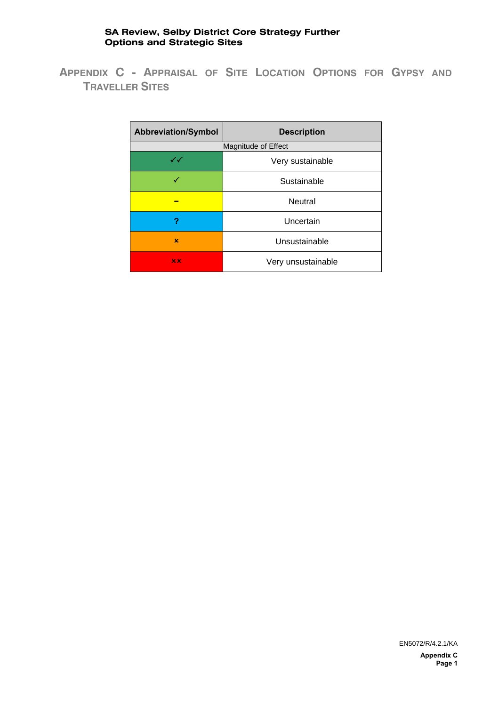**APPENDIX C - APPRAISAL OF SITE LOCATION OPTIONS FOR GYPSY AND TRAVELLER SITES** 

| <b>Abbreviation/Symbol</b> | <b>Description</b>  |
|----------------------------|---------------------|
|                            | Magnitude of Effect |
| $\checkmark\checkmark$     | Very sustainable    |
| ✓                          | Sustainable         |
| -                          | <b>Neutral</b>      |
| ?                          | Uncertain           |
| ×                          | Unsustainable       |
| x x                        | Very unsustainable  |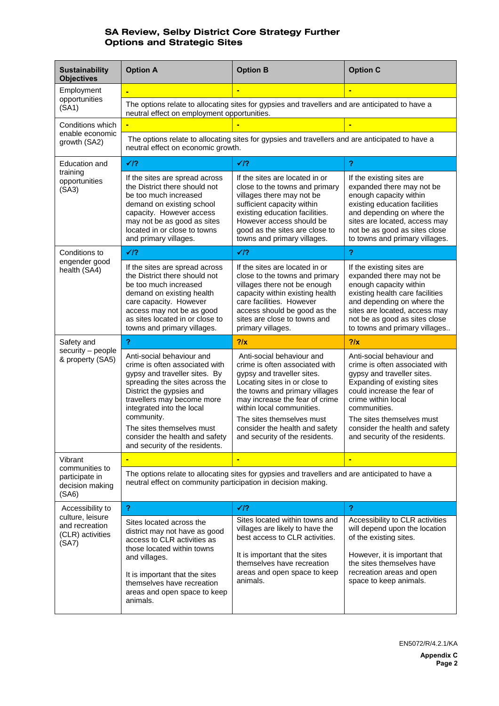| <b>Sustainability</b><br><b>Objectives</b>                      | <b>Option A</b>                                                                                                                                                                                                                                     | <b>Option B</b>                                                                                                                                                                                                                                            | <b>Option C</b>                                                                                                                                                                                                                                      |  |
|-----------------------------------------------------------------|-----------------------------------------------------------------------------------------------------------------------------------------------------------------------------------------------------------------------------------------------------|------------------------------------------------------------------------------------------------------------------------------------------------------------------------------------------------------------------------------------------------------------|------------------------------------------------------------------------------------------------------------------------------------------------------------------------------------------------------------------------------------------------------|--|
| Employment                                                      | ٠                                                                                                                                                                                                                                                   | $\blacksquare$                                                                                                                                                                                                                                             | ÷                                                                                                                                                                                                                                                    |  |
| opportunities<br>(SA1)                                          | The options relate to allocating sites for gypsies and travellers and are anticipated to have a<br>neutral effect on employment opportunities.                                                                                                      |                                                                                                                                                                                                                                                            |                                                                                                                                                                                                                                                      |  |
| Conditions which                                                |                                                                                                                                                                                                                                                     |                                                                                                                                                                                                                                                            |                                                                                                                                                                                                                                                      |  |
| enable economic<br>growth (SA2)                                 | The options relate to allocating sites for gypsies and travellers and are anticipated to have a<br>neutral effect on economic growth.                                                                                                               |                                                                                                                                                                                                                                                            |                                                                                                                                                                                                                                                      |  |
| Education and                                                   | $\sqrt{2}$                                                                                                                                                                                                                                          | $\sqrt{2}$                                                                                                                                                                                                                                                 | $\overline{?}$                                                                                                                                                                                                                                       |  |
| training<br>opportunities<br>(SA3)                              | If the sites are spread across<br>the District there should not<br>be too much increased<br>demand on existing school<br>capacity. However access<br>may not be as good as sites<br>located in or close to towns<br>and primary villages.           | If the sites are located in or<br>close to the towns and primary<br>villages there may not be<br>sufficient capacity within<br>existing education facilities.<br>However access should be<br>good as the sites are close to<br>towns and primary villages. | If the existing sites are<br>expanded there may not be<br>enough capacity within<br>existing education facilities<br>and depending on where the<br>sites are located, access may<br>not be as good as sites close<br>to towns and primary villages.  |  |
| Conditions to                                                   | $\sqrt{2}$                                                                                                                                                                                                                                          | $\sqrt{2}$                                                                                                                                                                                                                                                 | $\overline{?}$                                                                                                                                                                                                                                       |  |
| engender good<br>health (SA4)                                   | If the sites are spread across<br>the District there should not<br>be too much increased<br>demand on existing health<br>care capacity. However<br>access may not be as good<br>as sites located in or close to<br>towns and primary villages.      | If the sites are located in or<br>close to the towns and primary<br>villages there not be enough<br>capacity within existing health<br>care facilities. However<br>access should be good as the<br>sites are close to towns and<br>primary villages.       | If the existing sites are<br>expanded there may not be<br>enough capacity within<br>existing health care facilities<br>and depending on where the<br>sites are located, access may<br>not be as good as sites close<br>to towns and primary villages |  |
| Safety and                                                      | $\overline{?}$                                                                                                                                                                                                                                      | 2/x                                                                                                                                                                                                                                                        | 2/x                                                                                                                                                                                                                                                  |  |
| security - people<br>& property (SA5)                           | Anti-social behaviour and<br>crime is often associated with<br>gypsy and traveller sites. By<br>spreading the sites across the<br>District the gypsies and<br>travellers may become more<br>integrated into the local<br>community.                 | Anti-social behaviour and<br>crime is often associated with<br>gypsy and traveller sites.<br>Locating sites in or close to<br>the towns and primary villages<br>may increase the fear of crime<br>within local communities.<br>The sites themselves must   | Anti-social behaviour and<br>crime is often associated with<br>gypsy and traveller sites.<br>Expanding of existing sites<br>could increase the fear of<br>crime within local<br>communities.<br>The sites themselves must                            |  |
|                                                                 | The sites themselves must<br>consider the health and safety<br>and security of the residents.                                                                                                                                                       | consider the health and safety<br>and security of the residents.                                                                                                                                                                                           | consider the health and safety<br>and security of the residents.                                                                                                                                                                                     |  |
| Vibrant                                                         |                                                                                                                                                                                                                                                     |                                                                                                                                                                                                                                                            | Ξ                                                                                                                                                                                                                                                    |  |
| communities to<br>participate in<br>decision making<br>(SA6)    | The options relate to allocating sites for gypsies and travellers and are anticipated to have a<br>neutral effect on community participation in decision making.                                                                                    |                                                                                                                                                                                                                                                            |                                                                                                                                                                                                                                                      |  |
| Accessibility to                                                | $\mathbf{P}$                                                                                                                                                                                                                                        | $\sqrt{2}$                                                                                                                                                                                                                                                 | $\mathbf{R}$                                                                                                                                                                                                                                         |  |
| culture, leisure<br>and recreation<br>(CLR) activities<br>(SA7) | Sites located across the<br>district may not have as good<br>access to CLR activities as<br>those located within towns<br>and villages.<br>It is important that the sites<br>themselves have recreation<br>areas and open space to keep<br>animals. | Sites located within towns and<br>villages are likely to have the<br>best access to CLR activities.<br>It is important that the sites<br>themselves have recreation<br>areas and open space to keep<br>animals.                                            | Accessibility to CLR activities<br>will depend upon the location<br>of the existing sites.<br>However, it is important that<br>the sites themselves have<br>recreation areas and open<br>space to keep animals.                                      |  |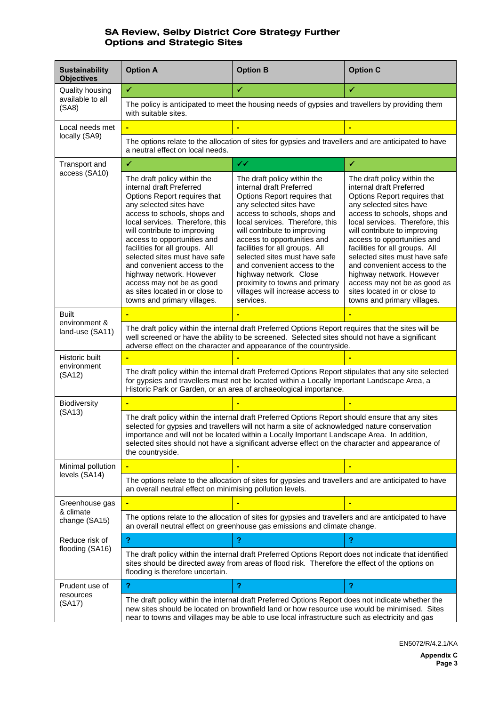| <b>Sustainability</b><br><b>Objectives</b>   | <b>Option A</b>                                                                                                                                                                                                                                                                                                                                                                                                                                                                    | <b>Option B</b>                                                                                                                                                                                                                                                                                                                                                                                                                                                      | <b>Option C</b>                                                                                                                                                                                                                                                                                                                                                                                                                                                                    |  |
|----------------------------------------------|------------------------------------------------------------------------------------------------------------------------------------------------------------------------------------------------------------------------------------------------------------------------------------------------------------------------------------------------------------------------------------------------------------------------------------------------------------------------------------|----------------------------------------------------------------------------------------------------------------------------------------------------------------------------------------------------------------------------------------------------------------------------------------------------------------------------------------------------------------------------------------------------------------------------------------------------------------------|------------------------------------------------------------------------------------------------------------------------------------------------------------------------------------------------------------------------------------------------------------------------------------------------------------------------------------------------------------------------------------------------------------------------------------------------------------------------------------|--|
| Quality housing<br>available to all<br>(SA8) | ✓                                                                                                                                                                                                                                                                                                                                                                                                                                                                                  | ✓                                                                                                                                                                                                                                                                                                                                                                                                                                                                    | ✔                                                                                                                                                                                                                                                                                                                                                                                                                                                                                  |  |
|                                              | The policy is anticipated to meet the housing needs of gypsies and travellers by providing them<br>with suitable sites.                                                                                                                                                                                                                                                                                                                                                            |                                                                                                                                                                                                                                                                                                                                                                                                                                                                      |                                                                                                                                                                                                                                                                                                                                                                                                                                                                                    |  |
| Local needs met                              |                                                                                                                                                                                                                                                                                                                                                                                                                                                                                    |                                                                                                                                                                                                                                                                                                                                                                                                                                                                      |                                                                                                                                                                                                                                                                                                                                                                                                                                                                                    |  |
| locally (SA9)                                | a neutral effect on local needs.                                                                                                                                                                                                                                                                                                                                                                                                                                                   | The options relate to the allocation of sites for gypsies and travellers and are anticipated to have                                                                                                                                                                                                                                                                                                                                                                 |                                                                                                                                                                                                                                                                                                                                                                                                                                                                                    |  |
| Transport and                                | ✓                                                                                                                                                                                                                                                                                                                                                                                                                                                                                  | $\checkmark$                                                                                                                                                                                                                                                                                                                                                                                                                                                         | ✔                                                                                                                                                                                                                                                                                                                                                                                                                                                                                  |  |
| access (SA10)                                | The draft policy within the<br>internal draft Preferred<br>Options Report requires that<br>any selected sites have<br>access to schools, shops and<br>local services. Therefore, this<br>will contribute to improving<br>access to opportunities and<br>facilities for all groups. All<br>selected sites must have safe<br>and convenient access to the<br>highway network. However<br>access may not be as good<br>as sites located in or close to<br>towns and primary villages. | The draft policy within the<br>internal draft Preferred<br>Options Report requires that<br>any selected sites have<br>access to schools, shops and<br>local services. Therefore, this<br>will contribute to improving<br>access to opportunities and<br>facilities for all groups. All<br>selected sites must have safe<br>and convenient access to the<br>highway network. Close<br>proximity to towns and primary<br>villages will increase access to<br>services. | The draft policy within the<br>internal draft Preferred<br>Options Report requires that<br>any selected sites have<br>access to schools, shops and<br>local services. Therefore, this<br>will contribute to improving<br>access to opportunities and<br>facilities for all groups. All<br>selected sites must have safe<br>and convenient access to the<br>highway network. However<br>access may not be as good as<br>sites located in or close to<br>towns and primary villages. |  |
| <b>Built</b>                                 |                                                                                                                                                                                                                                                                                                                                                                                                                                                                                    |                                                                                                                                                                                                                                                                                                                                                                                                                                                                      |                                                                                                                                                                                                                                                                                                                                                                                                                                                                                    |  |
| environment &<br>land-use (SA11)             | The draft policy within the internal draft Preferred Options Report requires that the sites will be<br>well screened or have the ability to be screened. Selected sites should not have a significant<br>adverse effect on the character and appearance of the countryside.                                                                                                                                                                                                        |                                                                                                                                                                                                                                                                                                                                                                                                                                                                      |                                                                                                                                                                                                                                                                                                                                                                                                                                                                                    |  |
| Historic built                               |                                                                                                                                                                                                                                                                                                                                                                                                                                                                                    |                                                                                                                                                                                                                                                                                                                                                                                                                                                                      |                                                                                                                                                                                                                                                                                                                                                                                                                                                                                    |  |
| environment<br>(SA12)                        | The draft policy within the internal draft Preferred Options Report stipulates that any site selected<br>for gypsies and travellers must not be located within a Locally Important Landscape Area, a<br>Historic Park or Garden, or an area of archaeological importance.                                                                                                                                                                                                          |                                                                                                                                                                                                                                                                                                                                                                                                                                                                      |                                                                                                                                                                                                                                                                                                                                                                                                                                                                                    |  |
| <b>Biodiversity</b>                          |                                                                                                                                                                                                                                                                                                                                                                                                                                                                                    |                                                                                                                                                                                                                                                                                                                                                                                                                                                                      |                                                                                                                                                                                                                                                                                                                                                                                                                                                                                    |  |
| (SA13)                                       | The draft policy within the internal draft Preferred Options Report should ensure that any sites<br>selected for gypsies and travellers will not harm a site of acknowledged nature conservation<br>importance and will not be located within a Locally Important Landscape Area. In addition,<br>selected sites should not have a significant adverse effect on the character and appearance of<br>the countryside.                                                               |                                                                                                                                                                                                                                                                                                                                                                                                                                                                      |                                                                                                                                                                                                                                                                                                                                                                                                                                                                                    |  |
| Minimal pollution                            |                                                                                                                                                                                                                                                                                                                                                                                                                                                                                    |                                                                                                                                                                                                                                                                                                                                                                                                                                                                      |                                                                                                                                                                                                                                                                                                                                                                                                                                                                                    |  |
| levels (SA14)                                | The options relate to the allocation of sites for gypsies and travellers and are anticipated to have<br>an overall neutral effect on minimising pollution levels.                                                                                                                                                                                                                                                                                                                  |                                                                                                                                                                                                                                                                                                                                                                                                                                                                      |                                                                                                                                                                                                                                                                                                                                                                                                                                                                                    |  |
| Greenhouse gas                               |                                                                                                                                                                                                                                                                                                                                                                                                                                                                                    |                                                                                                                                                                                                                                                                                                                                                                                                                                                                      | $\blacksquare$                                                                                                                                                                                                                                                                                                                                                                                                                                                                     |  |
| & climate<br>change (SA15)                   | The options relate to the allocation of sites for gypsies and travellers and are anticipated to have<br>an overall neutral effect on greenhouse gas emissions and climate change.                                                                                                                                                                                                                                                                                                  |                                                                                                                                                                                                                                                                                                                                                                                                                                                                      |                                                                                                                                                                                                                                                                                                                                                                                                                                                                                    |  |
| Reduce risk of                               | $\mathbf{r}$                                                                                                                                                                                                                                                                                                                                                                                                                                                                       | 2                                                                                                                                                                                                                                                                                                                                                                                                                                                                    | ?                                                                                                                                                                                                                                                                                                                                                                                                                                                                                  |  |
| flooding (SA16)                              | flooding is therefore uncertain.                                                                                                                                                                                                                                                                                                                                                                                                                                                   | The draft policy within the internal draft Preferred Options Report does not indicate that identified<br>sites should be directed away from areas of flood risk. Therefore the effect of the options on                                                                                                                                                                                                                                                              |                                                                                                                                                                                                                                                                                                                                                                                                                                                                                    |  |
| Prudent use of                               | ?                                                                                                                                                                                                                                                                                                                                                                                                                                                                                  | $\overline{?}$                                                                                                                                                                                                                                                                                                                                                                                                                                                       | 2                                                                                                                                                                                                                                                                                                                                                                                                                                                                                  |  |
| resources<br>(SA17)                          | The draft policy within the internal draft Preferred Options Report does not indicate whether the<br>new sites should be located on brownfield land or how resource use would be minimised. Sites<br>near to towns and villages may be able to use local infrastructure such as electricity and gas                                                                                                                                                                                |                                                                                                                                                                                                                                                                                                                                                                                                                                                                      |                                                                                                                                                                                                                                                                                                                                                                                                                                                                                    |  |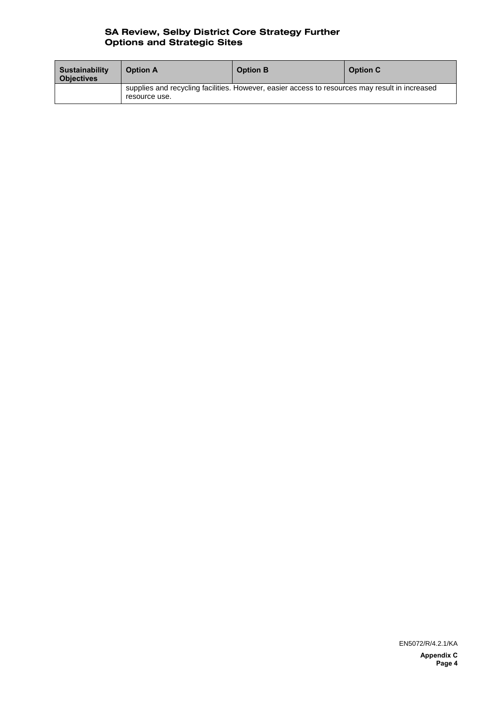| <b>Sustainability</b><br><b>Objectives</b> | <b>Option A</b> | <b>Option B</b>                                                                                | <b>Option C</b> |
|--------------------------------------------|-----------------|------------------------------------------------------------------------------------------------|-----------------|
|                                            | resource use.   | supplies and recycling facilities. However, easier access to resources may result in increased |                 |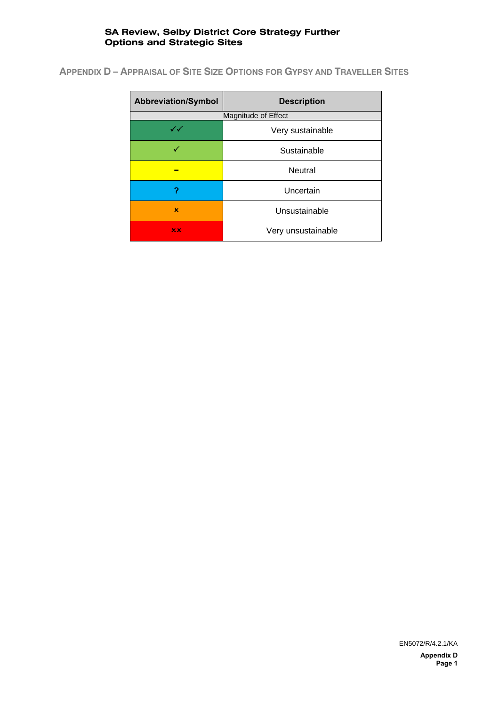**APPENDIX D – APPRAISAL OF SITE SIZE OPTIONS FOR GYPSY AND TRAVELLER SITES**

| <b>Abbreviation/Symbol</b> | <b>Description</b>  |
|----------------------------|---------------------|
|                            | Magnitude of Effect |
| $\checkmark\checkmark$     | Very sustainable    |
| ✓                          | Sustainable         |
|                            | Neutral             |
| ?                          | Uncertain           |
| $\mathbf x$                | Unsustainable       |
| x x                        | Very unsustainable  |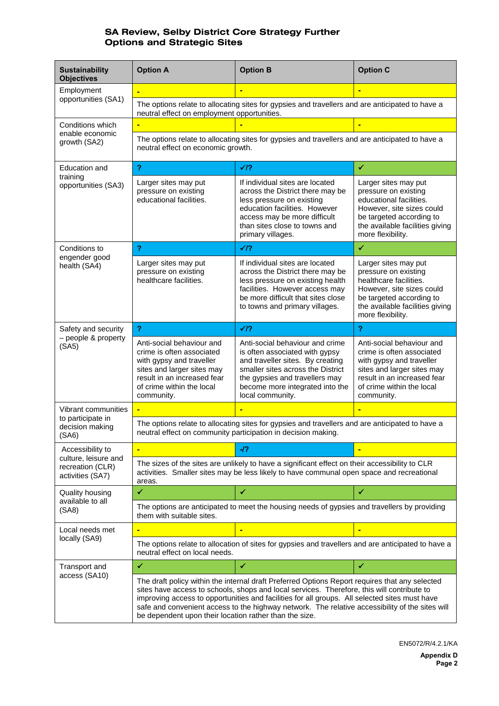| <b>Sustainability</b><br><b>Objectives</b>                   | <b>Option A</b>                                                                                                                                                                                                                                                                                                                                                                                                                                            | <b>Option B</b>                                                                                                                                                                                                                     | <b>Option C</b>                                                                                                                                                                            |  |
|--------------------------------------------------------------|------------------------------------------------------------------------------------------------------------------------------------------------------------------------------------------------------------------------------------------------------------------------------------------------------------------------------------------------------------------------------------------------------------------------------------------------------------|-------------------------------------------------------------------------------------------------------------------------------------------------------------------------------------------------------------------------------------|--------------------------------------------------------------------------------------------------------------------------------------------------------------------------------------------|--|
| Employment<br>opportunities (SA1)                            |                                                                                                                                                                                                                                                                                                                                                                                                                                                            |                                                                                                                                                                                                                                     |                                                                                                                                                                                            |  |
|                                                              | The options relate to allocating sites for gypsies and travellers and are anticipated to have a<br>neutral effect on employment opportunities.                                                                                                                                                                                                                                                                                                             |                                                                                                                                                                                                                                     |                                                                                                                                                                                            |  |
| Conditions which                                             |                                                                                                                                                                                                                                                                                                                                                                                                                                                            |                                                                                                                                                                                                                                     |                                                                                                                                                                                            |  |
| enable economic<br>growth (SA2)                              | The options relate to allocating sites for gypsies and travellers and are anticipated to have a<br>neutral effect on economic growth.                                                                                                                                                                                                                                                                                                                      |                                                                                                                                                                                                                                     |                                                                                                                                                                                            |  |
| Education and                                                | $\mathbf{P}$                                                                                                                                                                                                                                                                                                                                                                                                                                               | $\sqrt{2}$                                                                                                                                                                                                                          | $\checkmark$                                                                                                                                                                               |  |
| training<br>opportunities (SA3)                              | Larger sites may put<br>pressure on existing<br>educational facilities.                                                                                                                                                                                                                                                                                                                                                                                    | If individual sites are located<br>across the District there may be<br>less pressure on existing<br>education facilities. However<br>access may be more difficult<br>than sites close to towns and<br>primary villages.             | Larger sites may put<br>pressure on existing<br>educational facilities.<br>However, site sizes could<br>be targeted according to<br>the available facilities giving<br>more flexibility.   |  |
| Conditions to                                                | $\mathbf{P}$                                                                                                                                                                                                                                                                                                                                                                                                                                               | $\sqrt{2}$                                                                                                                                                                                                                          | $\checkmark$                                                                                                                                                                               |  |
| engender good<br>health (SA4)                                | Larger sites may put<br>pressure on existing<br>healthcare facilities.                                                                                                                                                                                                                                                                                                                                                                                     | If individual sites are located<br>across the District there may be<br>less pressure on existing health<br>facilities. However access may<br>be more difficult that sites close<br>to towns and primary villages.                   | Larger sites may put<br>pressure on existing<br>healthcare facilities.<br>However, site sizes could<br>be targeted according to<br>the available facilities giving<br>more flexibility.    |  |
| Safety and security                                          | $\overline{?}$                                                                                                                                                                                                                                                                                                                                                                                                                                             | $\sqrt{2}$                                                                                                                                                                                                                          | 2                                                                                                                                                                                          |  |
| - people & property<br>(SA5)                                 | Anti-social behaviour and<br>crime is often associated<br>with gypsy and traveller<br>sites and larger sites may<br>result in an increased fear<br>of crime within the local<br>community.                                                                                                                                                                                                                                                                 | Anti-social behaviour and crime<br>is often associated with gypsy<br>and traveller sites. By creating<br>smaller sites across the District<br>the gypsies and travellers may<br>become more integrated into the<br>local community. | Anti-social behaviour and<br>crime is often associated<br>with gypsy and traveller<br>sites and larger sites may<br>result in an increased fear<br>of crime within the local<br>community. |  |
| Vibrant communities                                          |                                                                                                                                                                                                                                                                                                                                                                                                                                                            |                                                                                                                                                                                                                                     |                                                                                                                                                                                            |  |
| to participate in<br>decision making<br>(SA6)                | The options relate to allocating sites for gypsies and travellers and are anticipated to have a<br>neutral effect on community participation in decision making.                                                                                                                                                                                                                                                                                           |                                                                                                                                                                                                                                     |                                                                                                                                                                                            |  |
| Accessibility to                                             |                                                                                                                                                                                                                                                                                                                                                                                                                                                            | $-I$ ?                                                                                                                                                                                                                              |                                                                                                                                                                                            |  |
| culture, leisure and<br>recreation (CLR)<br>activities (SA7) | The sizes of the sites are unlikely to have a significant effect on their accessibility to CLR<br>activities. Smaller sites may be less likely to have communal open space and recreational<br>areas.                                                                                                                                                                                                                                                      |                                                                                                                                                                                                                                     |                                                                                                                                                                                            |  |
| Quality housing<br>available to all<br>(SA8)                 | ✓                                                                                                                                                                                                                                                                                                                                                                                                                                                          | $\checkmark$                                                                                                                                                                                                                        | $\checkmark$                                                                                                                                                                               |  |
|                                                              | The options are anticipated to meet the housing needs of gypsies and travellers by providing<br>them with suitable sites.                                                                                                                                                                                                                                                                                                                                  |                                                                                                                                                                                                                                     |                                                                                                                                                                                            |  |
| Local needs met                                              | ٠                                                                                                                                                                                                                                                                                                                                                                                                                                                          | ٠                                                                                                                                                                                                                                   | Ξ                                                                                                                                                                                          |  |
| locally (SA9)                                                | The options relate to allocation of sites for gypsies and travellers and are anticipated to have a<br>neutral effect on local needs.                                                                                                                                                                                                                                                                                                                       |                                                                                                                                                                                                                                     |                                                                                                                                                                                            |  |
| Transport and                                                | ✓                                                                                                                                                                                                                                                                                                                                                                                                                                                          | $\checkmark$                                                                                                                                                                                                                        | $\checkmark$                                                                                                                                                                               |  |
| access (SA10)                                                | The draft policy within the internal draft Preferred Options Report requires that any selected<br>sites have access to schools, shops and local services. Therefore, this will contribute to<br>improving access to opportunities and facilities for all groups. All selected sites must have<br>safe and convenient access to the highway network. The relative accessibility of the sites will<br>be dependent upon their location rather than the size. |                                                                                                                                                                                                                                     |                                                                                                                                                                                            |  |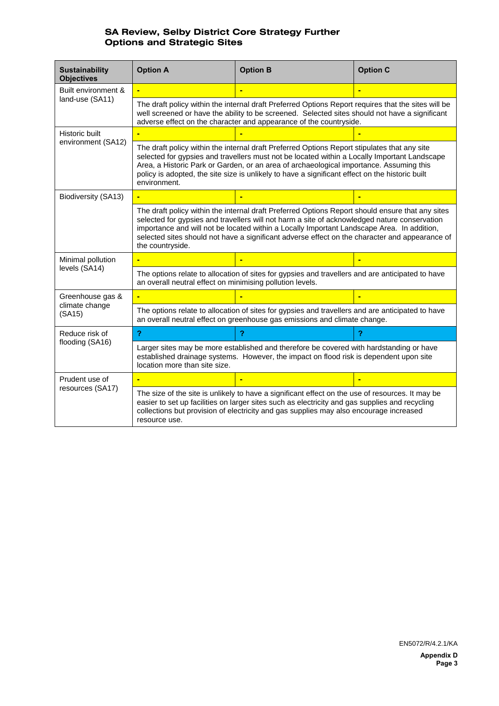| <b>Sustainability</b><br><b>Objectives</b>   | <b>Option A</b>                                                                                                                                                                                                                                                                                                                                                                                                      | <b>Option B</b> | <b>Option C</b> |  |
|----------------------------------------------|----------------------------------------------------------------------------------------------------------------------------------------------------------------------------------------------------------------------------------------------------------------------------------------------------------------------------------------------------------------------------------------------------------------------|-----------------|-----------------|--|
| Built environment &<br>land-use (SA11)       |                                                                                                                                                                                                                                                                                                                                                                                                                      |                 |                 |  |
|                                              | The draft policy within the internal draft Preferred Options Report requires that the sites will be<br>well screened or have the ability to be screened. Selected sites should not have a significant<br>adverse effect on the character and appearance of the countryside.                                                                                                                                          |                 |                 |  |
| Historic built<br>environment (SA12)         |                                                                                                                                                                                                                                                                                                                                                                                                                      |                 |                 |  |
|                                              | The draft policy within the internal draft Preferred Options Report stipulates that any site<br>selected for gypsies and travellers must not be located within a Locally Important Landscape<br>Area, a Historic Park or Garden, or an area of archaeological importance. Assuming this<br>policy is adopted, the site size is unlikely to have a significant effect on the historic built<br>environment.           |                 |                 |  |
| Biodiversity (SA13)                          |                                                                                                                                                                                                                                                                                                                                                                                                                      |                 |                 |  |
|                                              | The draft policy within the internal draft Preferred Options Report should ensure that any sites<br>selected for gypsies and travellers will not harm a site of acknowledged nature conservation<br>importance and will not be located within a Locally Important Landscape Area. In addition,<br>selected sites should not have a significant adverse effect on the character and appearance of<br>the countryside. |                 |                 |  |
| Minimal pollution                            |                                                                                                                                                                                                                                                                                                                                                                                                                      |                 |                 |  |
| levels (SA14)                                | The options relate to allocation of sites for gypsies and travellers and are anticipated to have<br>an overall neutral effect on minimising pollution levels.                                                                                                                                                                                                                                                        |                 |                 |  |
| Greenhouse gas &<br>climate change<br>(SA15) |                                                                                                                                                                                                                                                                                                                                                                                                                      |                 |                 |  |
|                                              | The options relate to allocation of sites for gypsies and travellers and are anticipated to have<br>an overall neutral effect on greenhouse gas emissions and climate change.                                                                                                                                                                                                                                        |                 |                 |  |
| Reduce risk of<br>flooding (SA16)            | $\overline{?}$                                                                                                                                                                                                                                                                                                                                                                                                       | ?               | ?               |  |
|                                              | Larger sites may be more established and therefore be covered with hardstanding or have<br>established drainage systems. However, the impact on flood risk is dependent upon site<br>location more than site size.                                                                                                                                                                                                   |                 |                 |  |
| Prudent use of<br>resources (SA17)           |                                                                                                                                                                                                                                                                                                                                                                                                                      |                 | $\blacksquare$  |  |
|                                              | The size of the site is unlikely to have a significant effect on the use of resources. It may be<br>easier to set up facilities on larger sites such as electricity and gas supplies and recycling<br>collections but provision of electricity and gas supplies may also encourage increased<br>resource use.                                                                                                        |                 |                 |  |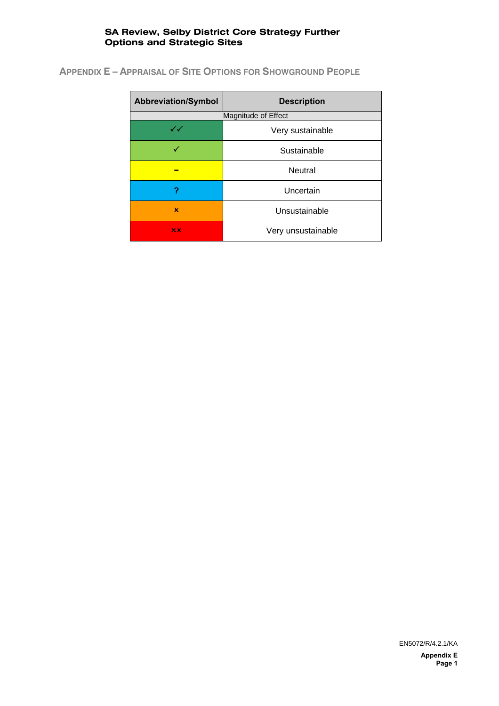**APPENDIX E – APPRAISAL OF SITE OPTIONS FOR SHOWGROUND PEOPLE**

| <b>Abbreviation/Symbol</b> | <b>Description</b> |
|----------------------------|--------------------|
| Magnitude of Effect        |                    |
| $\checkmark\checkmark$     | Very sustainable   |
| √                          | Sustainable        |
|                            | Neutral            |
| ?                          | Uncertain          |
| $\mathbf x$                | Unsustainable      |
| x x                        | Very unsustainable |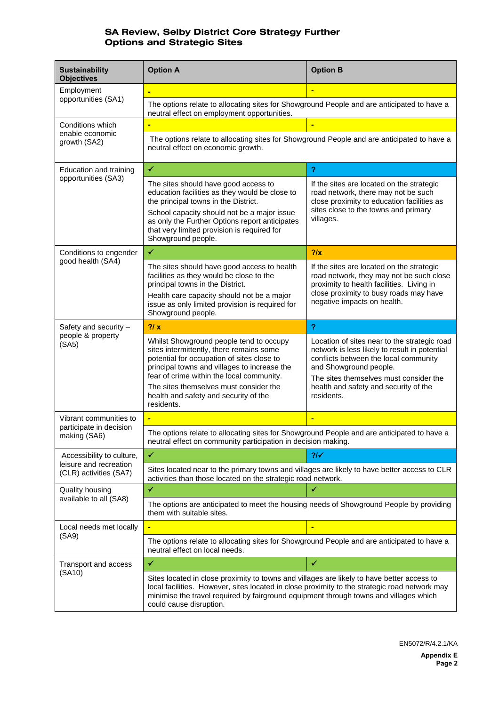| <b>Sustainability</b><br><b>Objectives</b>                                    | <b>Option A</b>                                                                                                                                                                                                                                                                                                                 | <b>Option B</b>                                                                                                                                                                                                                                                   |  |
|-------------------------------------------------------------------------------|---------------------------------------------------------------------------------------------------------------------------------------------------------------------------------------------------------------------------------------------------------------------------------------------------------------------------------|-------------------------------------------------------------------------------------------------------------------------------------------------------------------------------------------------------------------------------------------------------------------|--|
| Employment<br>opportunities (SA1)                                             |                                                                                                                                                                                                                                                                                                                                 |                                                                                                                                                                                                                                                                   |  |
|                                                                               | The options relate to allocating sites for Showground People and are anticipated to have a<br>neutral effect on employment opportunities.                                                                                                                                                                                       |                                                                                                                                                                                                                                                                   |  |
| Conditions which                                                              |                                                                                                                                                                                                                                                                                                                                 |                                                                                                                                                                                                                                                                   |  |
| enable economic<br>growth (SA2)                                               | The options relate to allocating sites for Showground People and are anticipated to have a<br>neutral effect on economic growth.                                                                                                                                                                                                |                                                                                                                                                                                                                                                                   |  |
| Education and training<br>opportunities (SA3)                                 | $\checkmark$                                                                                                                                                                                                                                                                                                                    | $\boldsymbol{?}$                                                                                                                                                                                                                                                  |  |
|                                                                               | The sites should have good access to<br>education facilities as they would be close to<br>the principal towns in the District.<br>School capacity should not be a major issue<br>as only the Further Options report anticipates<br>that very limited provision is required for<br>Showground people.                            | If the sites are located on the strategic<br>road network, there may not be such<br>close proximity to education facilities as<br>sites close to the towns and primary<br>villages.                                                                               |  |
| Conditions to engender                                                        | $\checkmark$                                                                                                                                                                                                                                                                                                                    | 2/x                                                                                                                                                                                                                                                               |  |
| good health (SA4)                                                             | The sites should have good access to health<br>facilities as they would be close to the<br>principal towns in the District.<br>Health care capacity should not be a major<br>issue as only limited provision is required for<br>Showground people.                                                                              | If the sites are located on the strategic<br>road network, they may not be such close<br>proximity to health facilities. Living in<br>close proximity to busy roads may have<br>negative impacts on health.                                                       |  |
| Safety and security -                                                         | 2/x                                                                                                                                                                                                                                                                                                                             | $\overline{?}$                                                                                                                                                                                                                                                    |  |
| people & property<br>(SA5)                                                    | Whilst Showground people tend to occupy<br>sites intermittently, there remains some<br>potential for occupation of sites close to<br>principal towns and villages to increase the<br>fear of crime within the local community.<br>The sites themselves must consider the<br>health and safety and security of the<br>residents. | Location of sites near to the strategic road<br>network is less likely to result in potential<br>conflicts between the local community<br>and Showground people.<br>The sites themselves must consider the<br>health and safety and security of the<br>residents. |  |
| Vibrant communities to<br>participate in decision<br>making (SA6)             |                                                                                                                                                                                                                                                                                                                                 |                                                                                                                                                                                                                                                                   |  |
|                                                                               | The options relate to allocating sites for Showground People and are anticipated to have a<br>neutral effect on community participation in decision making.                                                                                                                                                                     |                                                                                                                                                                                                                                                                   |  |
| Accessibility to culture,<br>leisure and recreation<br>(CLR) activities (SA7) | ✔                                                                                                                                                                                                                                                                                                                               | 21 <sup>2</sup>                                                                                                                                                                                                                                                   |  |
|                                                                               | Sites located near to the primary towns and villages are likely to have better access to CLR<br>activities than those located on the strategic road network.                                                                                                                                                                    |                                                                                                                                                                                                                                                                   |  |
| Quality housing<br>available to all (SA8)                                     | ✓                                                                                                                                                                                                                                                                                                                               |                                                                                                                                                                                                                                                                   |  |
|                                                                               | The options are anticipated to meet the housing needs of Showground People by providing<br>them with suitable sites.                                                                                                                                                                                                            |                                                                                                                                                                                                                                                                   |  |
| Local needs met locally<br>(SA9)                                              | ٠                                                                                                                                                                                                                                                                                                                               |                                                                                                                                                                                                                                                                   |  |
|                                                                               | The options relate to allocating sites for Showground People and are anticipated to have a<br>neutral effect on local needs.                                                                                                                                                                                                    |                                                                                                                                                                                                                                                                   |  |
| Transport and access                                                          | ✔                                                                                                                                                                                                                                                                                                                               | ✔                                                                                                                                                                                                                                                                 |  |
| (SA10)                                                                        | Sites located in close proximity to towns and villages are likely to have better access to<br>local facilities. However, sites located in close proximity to the strategic road network may<br>minimise the travel required by fairground equipment through towns and villages which<br>could cause disruption.                 |                                                                                                                                                                                                                                                                   |  |